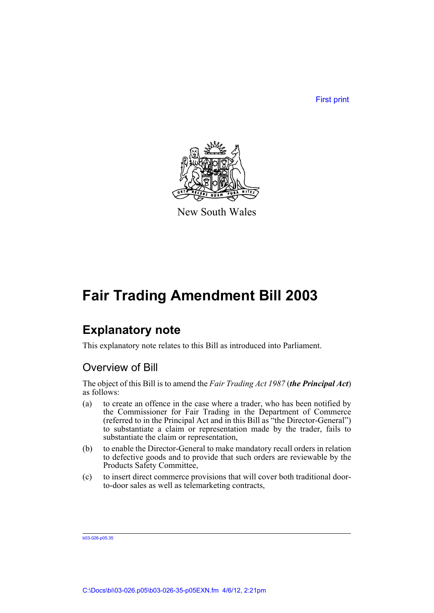First print



New South Wales

# **Fair Trading Amendment Bill 2003**

# **Explanatory note**

This explanatory note relates to this Bill as introduced into Parliament.

# Overview of Bill

The object of this Bill is to amend the *Fair Trading Act 1987* (*the Principal Act*) as follows:

- (a) to create an offence in the case where a trader, who has been notified by the Commissioner for Fair Trading in the Department of Commerce (referred to in the Principal Act and in this Bill as "the Director-General") to substantiate a claim or representation made by the trader, fails to substantiate the claim or representation,
- (b) to enable the Director-General to make mandatory recall orders in relation to defective goods and to provide that such orders are reviewable by the Products Safety Committee,
- (c) to insert direct commerce provisions that will cover both traditional doorto-door sales as well as telemarketing contracts,

b03-026-p05.35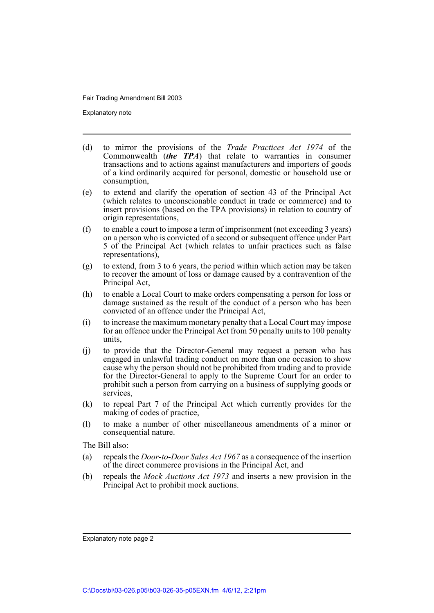Explanatory note

- (d) to mirror the provisions of the *Trade Practices Act 1974* of the Commonwealth (*the TPA*) that relate to warranties in consumer transactions and to actions against manufacturers and importers of goods of a kind ordinarily acquired for personal, domestic or household use or consumption,
- (e) to extend and clarify the operation of section 43 of the Principal Act (which relates to unconscionable conduct in trade or commerce) and to insert provisions (based on the TPA provisions) in relation to country of origin representations,
- (f) to enable a court to impose a term of imprisonment (not exceeding 3 years) on a person who is convicted of a second or subsequent offence under Part 5 of the Principal Act (which relates to unfair practices such as false representations),
- (g) to extend, from 3 to 6 years, the period within which action may be taken to recover the amount of loss or damage caused by a contravention of the Principal Act,
- (h) to enable a Local Court to make orders compensating a person for loss or damage sustained as the result of the conduct of a person who has been convicted of an offence under the Principal Act,
- (i) to increase the maximum monetary penalty that a Local Court may impose for an offence under the Principal Act from 50 penalty units to 100 penalty units,
- (j) to provide that the Director-General may request a person who has engaged in unlawful trading conduct on more than one occasion to show cause why the person should not be prohibited from trading and to provide for the Director-General to apply to the Supreme Court for an order to prohibit such a person from carrying on a business of supplying goods or services,
- (k) to repeal Part 7 of the Principal Act which currently provides for the making of codes of practice,
- (l) to make a number of other miscellaneous amendments of a minor or consequential nature.

The Bill also:

- (a) repeals the *Door-to-Door Sales Act 1967* as a consequence of the insertion of the direct commerce provisions in the Principal Act, and
- (b) repeals the *Mock Auctions Act 1973* and inserts a new provision in the Principal Act to prohibit mock auctions.

Explanatory note page 2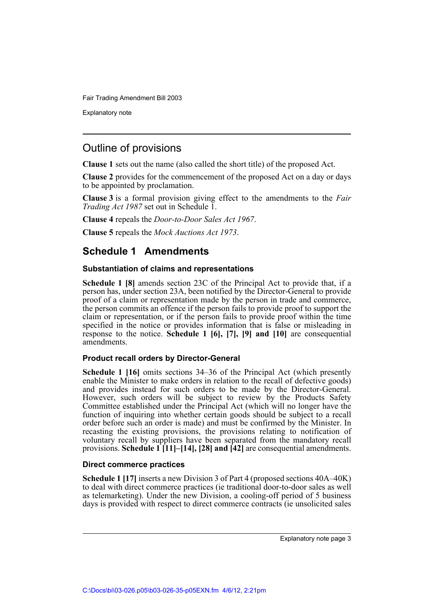Explanatory note

# Outline of provisions

**Clause 1** sets out the name (also called the short title) of the proposed Act.

**Clause 2** provides for the commencement of the proposed Act on a day or days to be appointed by proclamation.

**Clause 3** is a formal provision giving effect to the amendments to the *Fair Trading Act 1987* set out in Schedule 1.

**Clause 4** repeals the *Door-to-Door Sales Act 1967*.

**Clause 5** repeals the *Mock Auctions Act 1973*.

# **Schedule 1 Amendments**

#### **Substantiation of claims and representations**

**Schedule 1 [8]** amends section 23C of the Principal Act to provide that, if a person has, under section 23A, been notified by the Director-General to provide proof of a claim or representation made by the person in trade and commerce, the person commits an offence if the person fails to provide proof to support the claim or representation, or if the person fails to provide proof within the time specified in the notice or provides information that is false or misleading in response to the notice. **Schedule 1 [6], [7], [9] and [10]** are consequential amendments.

#### **Product recall orders by Director-General**

**Schedule 1 [16]** omits sections 34–36 of the Principal Act (which presently enable the Minister to make orders in relation to the recall of defective goods) and provides instead for such orders to be made by the Director-General. However, such orders will be subject to review by the Products Safety Committee established under the Principal Act (which will no longer have the function of inquiring into whether certain goods should be subject to a recall order before such an order is made) and must be confirmed by the Minister. In recasting the existing provisions, the provisions relating to notification of voluntary recall by suppliers have been separated from the mandatory recall provisions. **Schedule 1 [11]–[14], [28] and [42]** are consequential amendments.

#### **Direct commerce practices**

**Schedule 1 [17]** inserts a new Division 3 of Part 4 (proposed sections 40A–40K) to deal with direct commerce practices (ie traditional door-to-door sales as well as telemarketing). Under the new Division, a cooling-off period of 5 business days is provided with respect to direct commerce contracts (ie unsolicited sales

Explanatory note page 3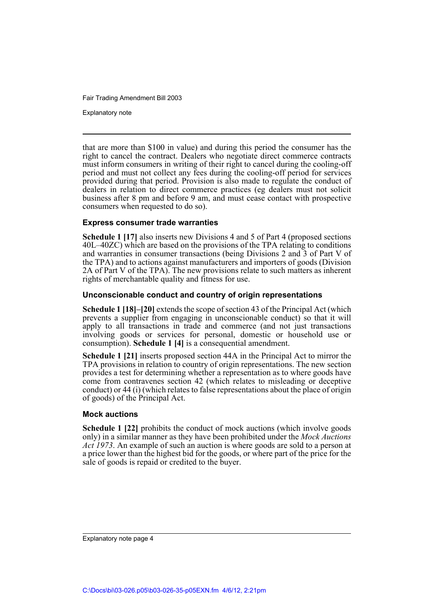Explanatory note

that are more than \$100 in value) and during this period the consumer has the right to cancel the contract. Dealers who negotiate direct commerce contracts must inform consumers in writing of their right to cancel during the cooling-off period and must not collect any fees during the cooling-off period for services provided during that period. Provision is also made to regulate the conduct of dealers in relation to direct commerce practices (eg dealers must not solicit business after 8 pm and before 9 am, and must cease contact with prospective consumers when requested to do so).

#### **Express consumer trade warranties**

**Schedule 1 [17]** also inserts new Divisions 4 and 5 of Part 4 (proposed sections 40L–40ZC) which are based on the provisions of the TPA relating to conditions and warranties in consumer transactions (being Divisions 2 and 3 of Part V of the TPA) and to actions against manufacturers and importers of goods (Division 2A of Part V of the TPA). The new provisions relate to such matters as inherent rights of merchantable quality and fitness for use.

#### **Unconscionable conduct and country of origin representations**

**Schedule 1 [18]–[20]** extends the scope of section 43 of the Principal Act (which prevents a supplier from engaging in unconscionable conduct) so that it will apply to all transactions in trade and commerce (and not just transactions involving goods or services for personal, domestic or household use or consumption). **Schedule 1 [4]** is a consequential amendment.

**Schedule 1 [21]** inserts proposed section 44A in the Principal Act to mirror the TPA provisions in relation to country of origin representations. The new section provides a test for determining whether a representation as to where goods have come from contravenes section 42 (which relates to misleading or deceptive conduct) or 44 (i) (which relates to false representations about the place of origin of goods) of the Principal Act.

#### **Mock auctions**

**Schedule 1 [22]** prohibits the conduct of mock auctions (which involve goods only) in a similar manner as they have been prohibited under the *Mock Auctions Act 1973*. An example of such an auction is where goods are sold to a person at a price lower than the highest bid for the goods, or where part of the price for the sale of goods is repaid or credited to the buyer.

Explanatory note page 4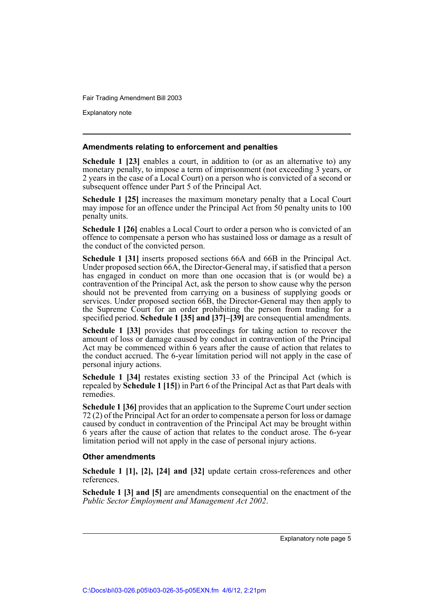Explanatory note

#### **Amendments relating to enforcement and penalties**

**Schedule 1 [23]** enables a court, in addition to (or as an alternative to) any monetary penalty, to impose a term of imprisonment (not exceeding 3 years, or 2 years in the case of a Local Court) on a person who is convicted of a second or subsequent offence under Part 5 of the Principal Act.

**Schedule 1 [25]** increases the maximum monetary penalty that a Local Court may impose for an offence under the Principal Act from 50 penalty units to 100 penalty units.

**Schedule 1 [26]** enables a Local Court to order a person who is convicted of an offence to compensate a person who has sustained loss or damage as a result of the conduct of the convicted person.

**Schedule 1 [31]** inserts proposed sections 66A and 66B in the Principal Act. Under proposed section 66A, the Director-General may, if satisfied that a person has engaged in conduct on more than one occasion that is (or would be) a contravention of the Principal Act, ask the person to show cause why the person should not be prevented from carrying on a business of supplying goods or services. Under proposed section 66B, the Director-General may then apply to the Supreme Court for an order prohibiting the person from trading for a specified period. **Schedule 1 [35] and [37]–[39]** are consequential amendments.

**Schedule 1 [33]** provides that proceedings for taking action to recover the amount of loss or damage caused by conduct in contravention of the Principal Act may be commenced within 6 years after the cause of action that relates to the conduct accrued. The 6-year limitation period will not apply in the case of personal injury actions.

**Schedule 1 [34]** restates existing section 33 of the Principal Act (which is repealed by **Schedule 1 [15]**) in Part 6 of the Principal Act as that Part deals with remedies.

**Schedule 1 [36]** provides that an application to the Supreme Court under section 72 (2) of the Principal Act for an order to compensate a person for loss or damage caused by conduct in contravention of the Principal Act may be brought within 6 years after the cause of action that relates to the conduct arose. The 6-year limitation period will not apply in the case of personal injury actions.

#### **Other amendments**

**Schedule 1 [1], [2], [24] and [32]** update certain cross-references and other references.

**Schedule 1 [3] and [5]** are amendments consequential on the enactment of the *Public Sector Employment and Management Act 2002*.

Explanatory note page 5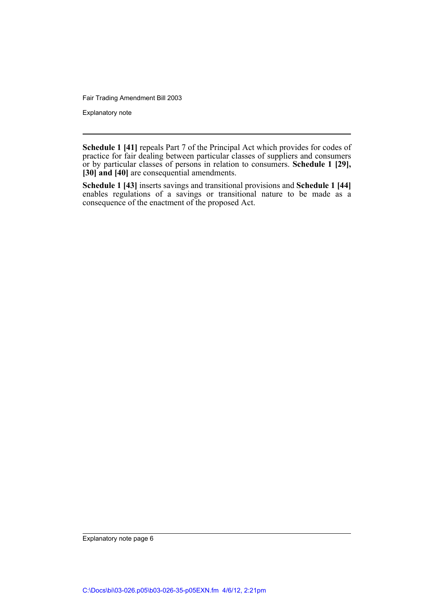Explanatory note

**Schedule 1 [41]** repeals Part 7 of the Principal Act which provides for codes of practice for fair dealing between particular classes of suppliers and consumers or by particular classes of persons in relation to consumers. **Schedule 1 [29], [30] and [40]** are consequential amendments.

**Schedule 1 [43]** inserts savings and transitional provisions and **Schedule 1 [44]** enables regulations of a savings or transitional nature to be made as a consequence of the enactment of the proposed Act.

Explanatory note page 6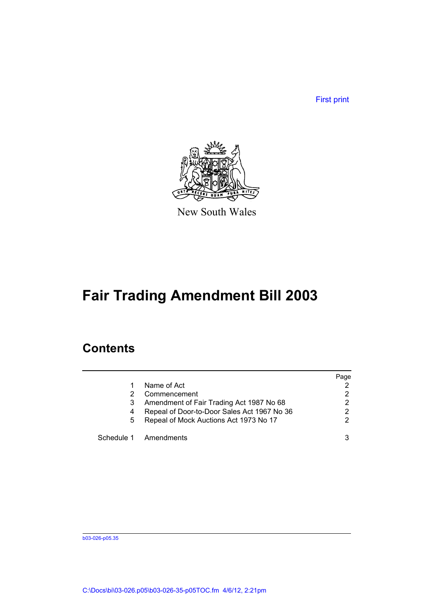First print



New South Wales

# **Fair Trading Amendment Bill 2003**

# **Contents**

|   |                                             | Page           |
|---|---------------------------------------------|----------------|
|   | Name of Act                                 |                |
|   | Commencement                                | $\overline{2}$ |
|   | Amendment of Fair Trading Act 1987 No 68    | 2              |
| 4 | Repeal of Door-to-Door Sales Act 1967 No 36 | 2              |
| 5 | Repeal of Mock Auctions Act 1973 No 17      | 2              |
|   | Schedule 1 Amendments                       | 3              |

b03-026-p05.35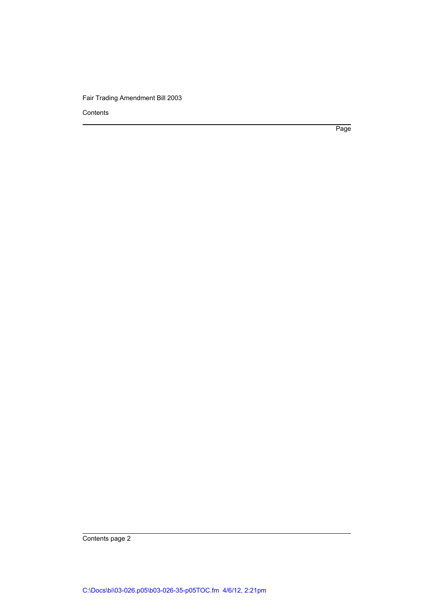Contents

Page

Contents page 2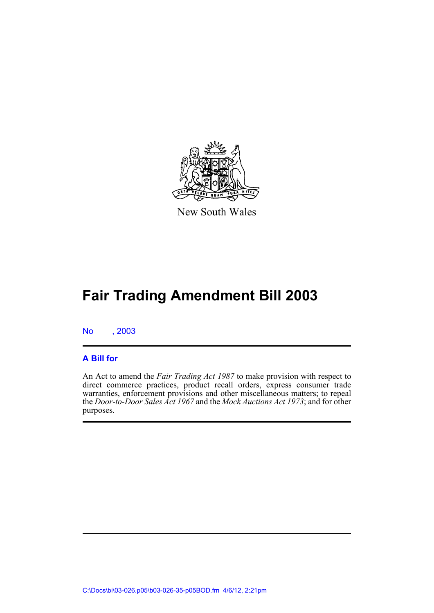

New South Wales

# **Fair Trading Amendment Bill 2003**

No , 2003

## **A Bill for**

An Act to amend the *Fair Trading Act 1987* to make provision with respect to direct commerce practices, product recall orders, express consumer trade warranties, enforcement provisions and other miscellaneous matters; to repeal the *Door-to-Door Sales Act 1967* and the *Mock Auctions Act 1973*; and for other purposes.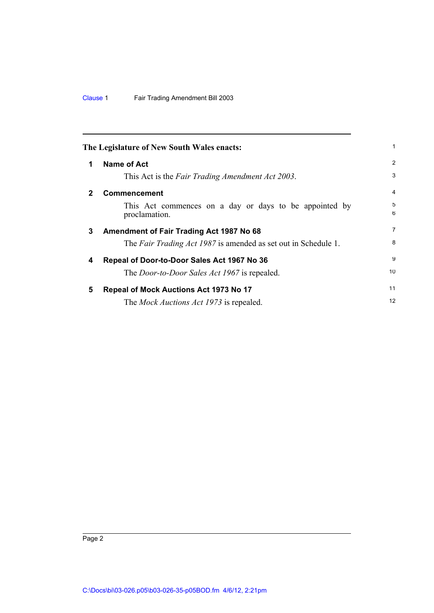<span id="page-9-4"></span><span id="page-9-3"></span><span id="page-9-2"></span><span id="page-9-1"></span><span id="page-9-0"></span>

|             | The Legislature of New South Wales enacts:                              | 1      |
|-------------|-------------------------------------------------------------------------|--------|
| 1           | <b>Name of Act</b>                                                      | 2      |
|             | This Act is the Fair Trading Amendment Act 2003.                        | 3      |
| $\mathbf 2$ | <b>Commencement</b>                                                     | 4      |
|             | This Act commences on a day or days to be appointed by<br>proclamation. | 5<br>6 |
| 3           | Amendment of Fair Trading Act 1987 No 68                                | 7      |
|             | The Fair Trading Act 1987 is amended as set out in Schedule 1.          | 8      |
| 4           | Repeal of Door-to-Door Sales Act 1967 No 36                             | 9      |
|             | The <i>Door-to-Door Sales Act 1967</i> is repealed.                     | 10     |
| 5           | Repeal of Mock Auctions Act 1973 No 17                                  | 11     |
|             | The <i>Mock Auctions Act 1973</i> is repealed.                          | 12     |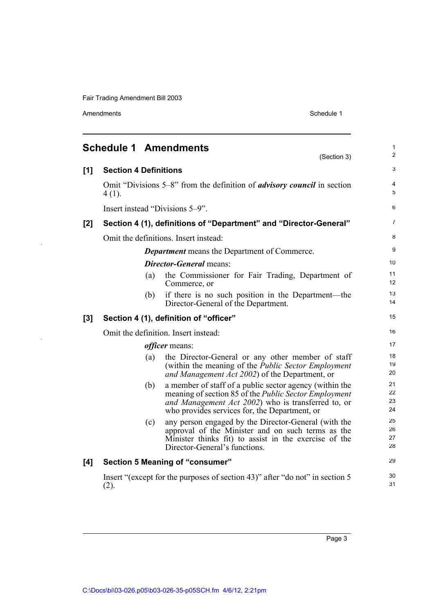Amendments Schedule 1

 $\ddot{\phantom{a}}$ 

 $\ddot{\phantom{0}}$ 

<span id="page-10-0"></span>

|     | <b>Schedule 1 Amendments</b>    | (Section 3)                                                                                                                                                                                                                    | 1<br>$\overline{c}$  |
|-----|---------------------------------|--------------------------------------------------------------------------------------------------------------------------------------------------------------------------------------------------------------------------------|----------------------|
| [1] | <b>Section 4 Definitions</b>    |                                                                                                                                                                                                                                | 3                    |
|     | $4(1)$ .                        | Omit "Divisions 5–8" from the definition of <i>advisory council</i> in section                                                                                                                                                 | 4<br>5               |
|     | Insert instead "Divisions 5–9". |                                                                                                                                                                                                                                | 6                    |
| [2] |                                 | Section 4 (1), definitions of "Department" and "Director-General"                                                                                                                                                              | 7                    |
|     |                                 | Omit the definitions. Insert instead:                                                                                                                                                                                          | 8                    |
|     |                                 | <b>Department</b> means the Department of Commerce.                                                                                                                                                                            | 9                    |
|     |                                 | <b>Director-General means:</b>                                                                                                                                                                                                 | 10                   |
|     | (a)                             | the Commissioner for Fair Trading, Department of<br>Commerce, or                                                                                                                                                               | 11<br>12             |
|     | (b)                             | if there is no such position in the Department—the<br>Director-General of the Department.                                                                                                                                      | 13<br>14             |
| [3] |                                 | Section 4 (1), definition of "officer"                                                                                                                                                                                         | 15                   |
|     |                                 | Omit the definition. Insert instead:                                                                                                                                                                                           | 16                   |
|     |                                 | <i>officer</i> means:                                                                                                                                                                                                          | 17                   |
|     | (a)                             | the Director-General or any other member of staff<br>(within the meaning of the <i>Public Sector Employment</i><br>and Management Act 2002) of the Department, or                                                              | 18<br>19<br>20       |
|     | (b)                             | a member of staff of a public sector agency (within the<br>meaning of section 85 of the <i>Public Sector Employment</i><br>and Management Act 2002) who is transferred to, or<br>who provides services for, the Department, or | 21<br>22<br>23<br>24 |
|     | (c)                             | any person engaged by the Director-General (with the<br>approval of the Minister and on such terms as the<br>Minister thinks fit) to assist in the exercise of the<br>Director-General's functions.                            | 25<br>26<br>27<br>28 |
| [4] |                                 | Section 5 Meaning of "consumer"                                                                                                                                                                                                | 29                   |
|     | (2).                            | Insert "(except for the purposes of section 43)" after "do not" in section 5                                                                                                                                                   | 30<br>31             |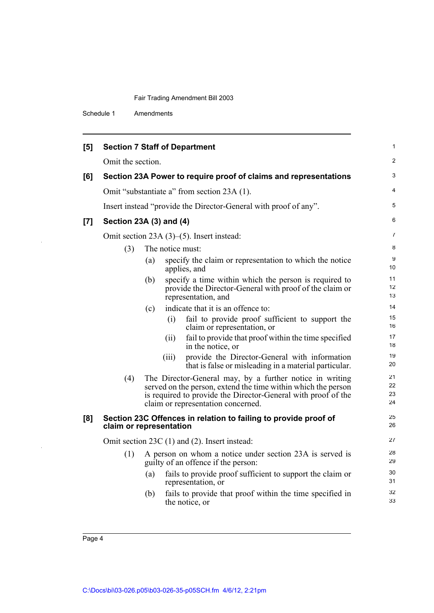Schedule 1 Amendments

| [5] | <b>Section 7 Staff of Department</b> |     |                                                                                                                                                                                                                                  |                      |  |  |  |  |
|-----|--------------------------------------|-----|----------------------------------------------------------------------------------------------------------------------------------------------------------------------------------------------------------------------------------|----------------------|--|--|--|--|
|     | Omit the section.                    |     |                                                                                                                                                                                                                                  |                      |  |  |  |  |
| [6] |                                      |     | Section 23A Power to require proof of claims and representations                                                                                                                                                                 | 3                    |  |  |  |  |
|     |                                      |     | Omit "substantiate a" from section 23A (1).                                                                                                                                                                                      | $\overline{4}$       |  |  |  |  |
|     |                                      |     | Insert instead "provide the Director-General with proof of any".                                                                                                                                                                 | 5                    |  |  |  |  |
| [7] | Section 23A (3) and (4)              |     |                                                                                                                                                                                                                                  | 6                    |  |  |  |  |
|     |                                      |     | Omit section $23A(3)$ –(5). Insert instead:                                                                                                                                                                                      | 7                    |  |  |  |  |
|     | (3)                                  |     | The notice must:                                                                                                                                                                                                                 | 8                    |  |  |  |  |
|     |                                      | (a) | specify the claim or representation to which the notice<br>applies, and                                                                                                                                                          | 9<br>10              |  |  |  |  |
|     |                                      | (b) | specify a time within which the person is required to<br>provide the Director-General with proof of the claim or<br>representation, and                                                                                          | 11<br>12<br>13       |  |  |  |  |
|     |                                      | (c) | indicate that it is an offence to:                                                                                                                                                                                               | 14                   |  |  |  |  |
|     |                                      |     | fail to provide proof sufficient to support the<br>(i)<br>claim or representation, or                                                                                                                                            | 15<br>16             |  |  |  |  |
|     |                                      |     | fail to provide that proof within the time specified<br>(ii)<br>in the notice, or                                                                                                                                                | 17<br>18             |  |  |  |  |
|     |                                      |     | provide the Director-General with information<br>(iii)<br>that is false or misleading in a material particular.                                                                                                                  | 19<br>20             |  |  |  |  |
|     | (4)                                  |     | The Director-General may, by a further notice in writing<br>served on the person, extend the time within which the person<br>is required to provide the Director-General with proof of the<br>claim or representation concerned. | 21<br>22<br>23<br>24 |  |  |  |  |
| [8] | claim or representation              |     | Section 23C Offences in relation to failing to provide proof of                                                                                                                                                                  | 25<br>26             |  |  |  |  |
|     |                                      |     | Omit section 23C (1) and (2). Insert instead:                                                                                                                                                                                    | 27                   |  |  |  |  |
|     | (1)                                  |     | A person on whom a notice under section 23A is served is<br>guilty of an offence if the person:                                                                                                                                  | 28<br>29             |  |  |  |  |
|     |                                      | (a) | fails to provide proof sufficient to support the claim or<br>representation, or                                                                                                                                                  | 30<br>31             |  |  |  |  |
|     |                                      | (b) | fails to provide that proof within the time specified in<br>the notice, or                                                                                                                                                       | 32<br>33             |  |  |  |  |

Page 4

 $\ddot{\phantom{a}}$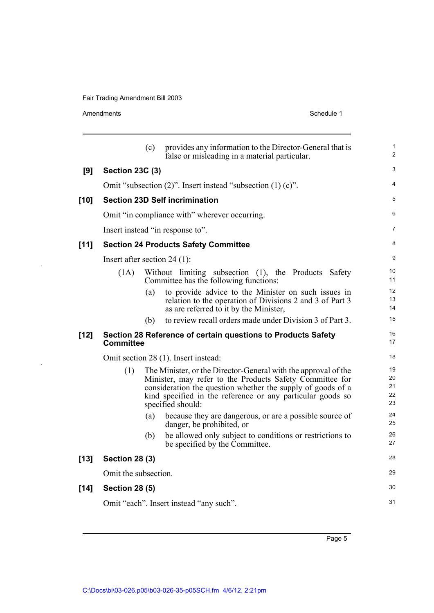$\frac{1}{2}$ 

 $\ddot{\phantom{a}}$ 

|        | Amendments                     |     | Schedule 1                                                                                                                                                                                                                                                                   |
|--------|--------------------------------|-----|------------------------------------------------------------------------------------------------------------------------------------------------------------------------------------------------------------------------------------------------------------------------------|
|        |                                | (c) | provides any information to the Director-General that is<br>false or misleading in a material particular.                                                                                                                                                                    |
| [9]    | <b>Section 23C (3)</b>         |     |                                                                                                                                                                                                                                                                              |
|        |                                |     | Omit "subsection $(2)$ ". Insert instead "subsection $(1)$ $(c)$ ".                                                                                                                                                                                                          |
| [10]   |                                |     | <b>Section 23D Self incrimination</b>                                                                                                                                                                                                                                        |
|        |                                |     | Omit "in compliance with" wherever occurring.                                                                                                                                                                                                                                |
|        |                                |     | Insert instead "in response to".                                                                                                                                                                                                                                             |
| [11]   |                                |     | <b>Section 24 Products Safety Committee</b>                                                                                                                                                                                                                                  |
|        | Insert after section $24$ (1): |     |                                                                                                                                                                                                                                                                              |
|        | (1A)                           |     | Without limiting subsection (1), the Products Safety<br>Committee has the following functions:                                                                                                                                                                               |
|        |                                | (a) | to provide advice to the Minister on such issues in<br>relation to the operation of Divisions 2 and 3 of Part 3<br>as are referred to it by the Minister,                                                                                                                    |
|        |                                | (b) | to review recall orders made under Division 3 of Part 3.                                                                                                                                                                                                                     |
| $[12]$ | <b>Committee</b>               |     | Section 28 Reference of certain questions to Products Safety                                                                                                                                                                                                                 |
|        |                                |     | Omit section 28 (1). Insert instead:                                                                                                                                                                                                                                         |
|        | (1)                            |     | The Minister, or the Director-General with the approval of the<br>Minister, may refer to the Products Safety Committee for<br>consideration the question whether the supply of goods of a<br>kind specified in the reference or any particular goods so<br>specified should: |
|        |                                | (a) | because they are dangerous, or are a possible source of<br>danger, be prohibited, or                                                                                                                                                                                         |
|        |                                | (b) | be allowed only subject to conditions or restrictions to<br>be specified by the Committee.                                                                                                                                                                                   |
| $[13]$ | <b>Section 28 (3)</b>          |     |                                                                                                                                                                                                                                                                              |
|        | Omit the subsection.           |     |                                                                                                                                                                                                                                                                              |
| $[14]$ | <b>Section 28 (5)</b>          |     |                                                                                                                                                                                                                                                                              |
|        |                                |     |                                                                                                                                                                                                                                                                              |

Omit "each". Insert instead "any such".

Page 5

1 2

3 4

5

6 7

28

29 30

31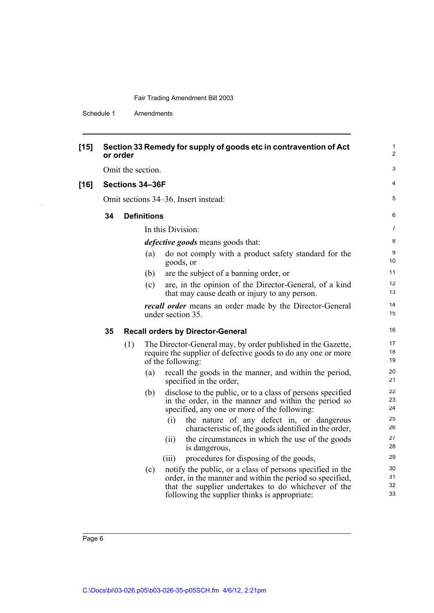Schedule 1 Amendments

l.

| $[15]$ |    | or order           | Section 33 Remedy for supply of goods etc in contravention of Act                                                                                                                                                             | $\mathbf{1}$<br>$\overline{2}$ |
|--------|----|--------------------|-------------------------------------------------------------------------------------------------------------------------------------------------------------------------------------------------------------------------------|--------------------------------|
|        |    | Omit the section.  |                                                                                                                                                                                                                               | 3                              |
| $[16]$ |    | Sections 34-36F    |                                                                                                                                                                                                                               | 4                              |
|        |    |                    | Omit sections 34–36. Insert instead:                                                                                                                                                                                          | 5                              |
|        | 34 | <b>Definitions</b> |                                                                                                                                                                                                                               | 6                              |
|        |    |                    | In this Division:                                                                                                                                                                                                             | $\overline{7}$                 |
|        |    |                    | <i>defective goods</i> means goods that:                                                                                                                                                                                      | 8                              |
|        |    | (a)                | do not comply with a product safety standard for the<br>goods, or                                                                                                                                                             | 9<br>10                        |
|        |    | (b)                | are the subject of a banning order, or                                                                                                                                                                                        | 11                             |
|        |    | (c)                | are, in the opinion of the Director-General, of a kind<br>that may cause death or injury to any person.                                                                                                                       | 12<br>13                       |
|        |    |                    | <i>recall order</i> means an order made by the Director-General<br>under section 35.                                                                                                                                          | 14<br>15                       |
|        | 35 |                    | <b>Recall orders by Director-General</b>                                                                                                                                                                                      | 16                             |
|        |    | (1)                | The Director-General may, by order published in the Gazette,<br>require the supplier of defective goods to do any one or more<br>of the following:                                                                            | 17<br>18<br>19                 |
|        |    | (a)                | recall the goods in the manner, and within the period,<br>specified in the order,                                                                                                                                             | 20<br>21                       |
|        |    | (b)                | disclose to the public, or to a class of persons specified<br>in the order, in the manner and within the period so<br>specified, any one or more of the following:                                                            | 22<br>23<br>24                 |
|        |    |                    | the nature of any defect in, or dangerous<br>(i)<br>characteristic of, the goods identified in the order,                                                                                                                     | 25<br>26                       |
|        |    |                    | the circumstances in which the use of the goods<br>(ii)<br>is dangerous,                                                                                                                                                      | 27<br>28                       |
|        |    |                    | procedures for disposing of the goods,<br>(iii)                                                                                                                                                                               | 29                             |
|        |    | (c)                | notify the public, or a class of persons specified in the<br>order, in the manner and within the period so specified,<br>that the supplier undertakes to do whichever of the<br>following the supplier thinks is appropriate: | 30<br>31<br>32<br>33           |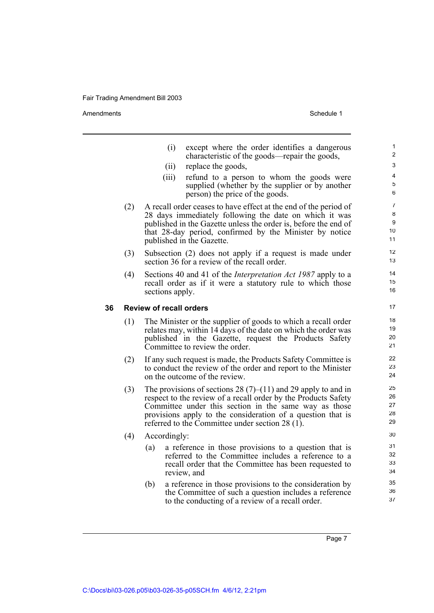Amendments Schedule 1

|    |     | (i)                            | except where the order identifies a dangerous<br>characteristic of the goods—repair the goods,                                                                                                                                                                                                               | $\mathbf{1}$<br>2          |
|----|-----|--------------------------------|--------------------------------------------------------------------------------------------------------------------------------------------------------------------------------------------------------------------------------------------------------------------------------------------------------------|----------------------------|
|    |     | (ii)                           | replace the goods,                                                                                                                                                                                                                                                                                           | 3                          |
|    |     | (iii)                          | refund to a person to whom the goods were<br>supplied (whether by the supplier or by another<br>person) the price of the goods.                                                                                                                                                                              | 4<br>5<br>6                |
|    | (2) |                                | A recall order ceases to have effect at the end of the period of<br>28 days immediately following the date on which it was<br>published in the Gazette unless the order is, before the end of<br>that 28-day period, confirmed by the Minister by notice<br>published in the Gazette.                        | 7<br>8<br>9<br>10<br>11    |
|    | (3) |                                | Subsection (2) does not apply if a request is made under<br>section 36 for a review of the recall order.                                                                                                                                                                                                     | 12 <sup>2</sup><br>13      |
|    | (4) | sections apply.                | Sections 40 and 41 of the <i>Interpretation Act 1987</i> apply to a<br>recall order as if it were a statutory rule to which those                                                                                                                                                                            | 14<br>15<br>16             |
| 36 |     | <b>Review of recall orders</b> |                                                                                                                                                                                                                                                                                                              | 17                         |
|    | (1) |                                | The Minister or the supplier of goods to which a recall order<br>relates may, within 14 days of the date on which the order was<br>published in the Gazette, request the Products Safety<br>Committee to review the order.                                                                                   | 18<br>19<br>20<br>21       |
|    | (2) |                                | If any such request is made, the Products Safety Committee is<br>to conduct the review of the order and report to the Minister<br>on the outcome of the review.                                                                                                                                              | 22<br>23<br>24             |
|    | (3) |                                | The provisions of sections 28 (7)–(11) and 29 apply to and in<br>respect to the review of a recall order by the Products Safety<br>Committee under this section in the same way as those<br>provisions apply to the consideration of a question that is<br>referred to the Committee under section $28(1)$ . | 25<br>26<br>27<br>28<br>29 |
|    | (4) | Accordingly:                   |                                                                                                                                                                                                                                                                                                              | 30                         |
|    |     | (a)                            | a reference in those provisions to a question that is<br>referred to the Committee includes a reference to a<br>recall order that the Committee has been requested to<br>review, and                                                                                                                         | 31<br>32<br>33<br>34       |
|    |     | (b)                            | a reference in those provisions to the consideration by<br>the Committee of such a question includes a reference<br>to the conducting of a review of a recall order.                                                                                                                                         | 35<br>36<br>37             |
|    |     |                                |                                                                                                                                                                                                                                                                                                              |                            |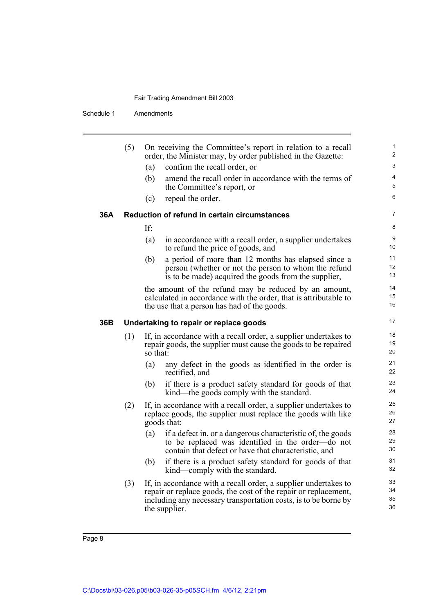Schedule 1 Amendments

|     | (5) |          | On receiving the Committee's report in relation to a recall<br>order, the Minister may, by order published in the Gazette:                                                                                             | 1<br>$\overline{c}$  |
|-----|-----|----------|------------------------------------------------------------------------------------------------------------------------------------------------------------------------------------------------------------------------|----------------------|
|     |     | (a)      | confirm the recall order, or                                                                                                                                                                                           | 3                    |
|     |     | (b)      | amend the recall order in accordance with the terms of                                                                                                                                                                 | 4                    |
|     |     |          | the Committee's report, or                                                                                                                                                                                             | 5                    |
|     |     | (c)      | repeal the order.                                                                                                                                                                                                      | 6                    |
| 36A |     |          | Reduction of refund in certain circumstances                                                                                                                                                                           | 7                    |
|     |     | If:      |                                                                                                                                                                                                                        | 8                    |
|     |     | (a)      | in accordance with a recall order, a supplier undertakes<br>to refund the price of goods, and                                                                                                                          | 9<br>10              |
|     |     | (b)      | a period of more than 12 months has elapsed since a<br>person (whether or not the person to whom the refund<br>is to be made) acquired the goods from the supplier,                                                    | 11<br>12<br>13       |
|     |     |          | the amount of the refund may be reduced by an amount,<br>calculated in accordance with the order, that is attributable to<br>the use that a person has had of the goods.                                               | 14<br>15<br>16       |
| 36B |     |          | Undertaking to repair or replace goods                                                                                                                                                                                 | 17                   |
|     | (1) | so that: | If, in accordance with a recall order, a supplier undertakes to<br>repair goods, the supplier must cause the goods to be repaired                                                                                      | 18<br>19<br>20       |
|     |     | (a)      | any defect in the goods as identified in the order is<br>rectified, and                                                                                                                                                | 21<br>22             |
|     |     | (b)      | if there is a product safety standard for goods of that<br>kind—the goods comply with the standard.                                                                                                                    | 23<br>24             |
|     | (2) |          | If, in accordance with a recall order, a supplier undertakes to<br>replace goods, the supplier must replace the goods with like<br>goods that:                                                                         | 25<br>26<br>27       |
|     |     | (a)      | if a defect in, or a dangerous characteristic of, the goods<br>to be replaced was identified in the order—do not<br>contain that defect or have that characteristic, and                                               | 28<br>29<br>30       |
|     |     | (b)      | if there is a product safety standard for goods of that<br>kind—comply with the standard.                                                                                                                              | 31<br>32             |
|     | (3) |          | If, in accordance with a recall order, a supplier undertakes to<br>repair or replace goods, the cost of the repair or replacement,<br>including any necessary transportation costs, is to be borne by<br>the supplier. | 33<br>34<br>35<br>36 |
|     |     |          |                                                                                                                                                                                                                        |                      |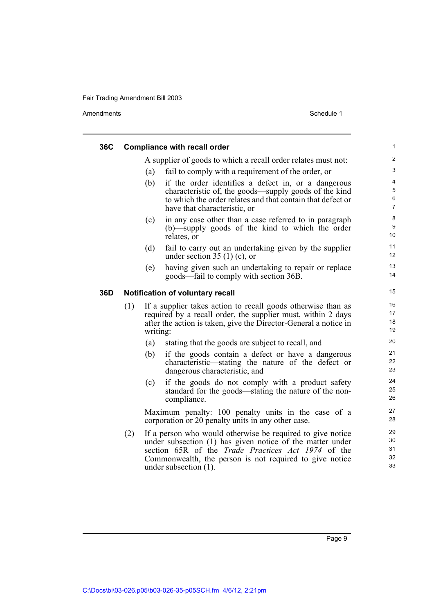Amendments Schedule 1

|     |     |                                                                                                                                                                                                            | 1                                                                                                                                                                                                                                                                                                                                                                                                                                                                                                                                                                                                                                                                                                                                                           |
|-----|-----|------------------------------------------------------------------------------------------------------------------------------------------------------------------------------------------------------------|-------------------------------------------------------------------------------------------------------------------------------------------------------------------------------------------------------------------------------------------------------------------------------------------------------------------------------------------------------------------------------------------------------------------------------------------------------------------------------------------------------------------------------------------------------------------------------------------------------------------------------------------------------------------------------------------------------------------------------------------------------------|
|     |     |                                                                                                                                                                                                            | $\overline{2}$                                                                                                                                                                                                                                                                                                                                                                                                                                                                                                                                                                                                                                                                                                                                              |
|     | (a) | fail to comply with a requirement of the order, or                                                                                                                                                         | 3                                                                                                                                                                                                                                                                                                                                                                                                                                                                                                                                                                                                                                                                                                                                                           |
|     | (b) | if the order identifies a defect in, or a dangerous<br>characteristic of, the goods—supply goods of the kind<br>to which the order relates and that contain that defect or<br>have that characteristic, or | $\overline{\mathbf{4}}$<br>5<br>$\,6$<br>$\overline{7}$                                                                                                                                                                                                                                                                                                                                                                                                                                                                                                                                                                                                                                                                                                     |
|     | (c) | in any case other than a case referred to in paragraph<br>(b)—supply goods of the kind to which the order<br>relates, or                                                                                   | 8<br>9<br>10                                                                                                                                                                                                                                                                                                                                                                                                                                                                                                                                                                                                                                                                                                                                                |
|     | (d) | fail to carry out an undertaking given by the supplier<br>under section 35 $(1)$ (c), or                                                                                                                   | 11<br>12                                                                                                                                                                                                                                                                                                                                                                                                                                                                                                                                                                                                                                                                                                                                                    |
|     | (e) | having given such an undertaking to repair or replace<br>goods—fail to comply with section 36B.                                                                                                            | 13<br>14                                                                                                                                                                                                                                                                                                                                                                                                                                                                                                                                                                                                                                                                                                                                                    |
|     |     |                                                                                                                                                                                                            | 15                                                                                                                                                                                                                                                                                                                                                                                                                                                                                                                                                                                                                                                                                                                                                          |
| (1) |     |                                                                                                                                                                                                            | 16<br>17<br>18<br>19                                                                                                                                                                                                                                                                                                                                                                                                                                                                                                                                                                                                                                                                                                                                        |
|     | (a) | stating that the goods are subject to recall, and                                                                                                                                                          | 20                                                                                                                                                                                                                                                                                                                                                                                                                                                                                                                                                                                                                                                                                                                                                          |
|     | (b) | if the goods contain a defect or have a dangerous<br>characteristic—stating the nature of the defect or<br>dangerous characteristic, and                                                                   | 21<br>22<br>23                                                                                                                                                                                                                                                                                                                                                                                                                                                                                                                                                                                                                                                                                                                                              |
|     | (c) | if the goods do not comply with a product safety<br>standard for the goods—stating the nature of the non-<br>compliance.                                                                                   | 24<br>25<br>26                                                                                                                                                                                                                                                                                                                                                                                                                                                                                                                                                                                                                                                                                                                                              |
|     |     |                                                                                                                                                                                                            | 27<br>28                                                                                                                                                                                                                                                                                                                                                                                                                                                                                                                                                                                                                                                                                                                                                    |
| (2) |     |                                                                                                                                                                                                            | 29<br>30<br>31<br>32<br>33                                                                                                                                                                                                                                                                                                                                                                                                                                                                                                                                                                                                                                                                                                                                  |
|     |     |                                                                                                                                                                                                            | <b>Compliance with recall order</b><br>A supplier of goods to which a recall order relates must not:<br><b>Notification of voluntary recall</b><br>If a supplier takes action to recall goods otherwise than as<br>required by a recall order, the supplier must, within 2 days<br>after the action is taken, give the Director-General a notice in<br>writing:<br>Maximum penalty: 100 penalty units in the case of a<br>corporation or 20 penalty units in any other case.<br>If a person who would otherwise be required to give notice<br>under subsection (1) has given notice of the matter under<br>section 65R of the <i>Trade Practices Act 1974</i> of the<br>Commonwealth, the person is not required to give notice<br>under subsection $(1)$ . |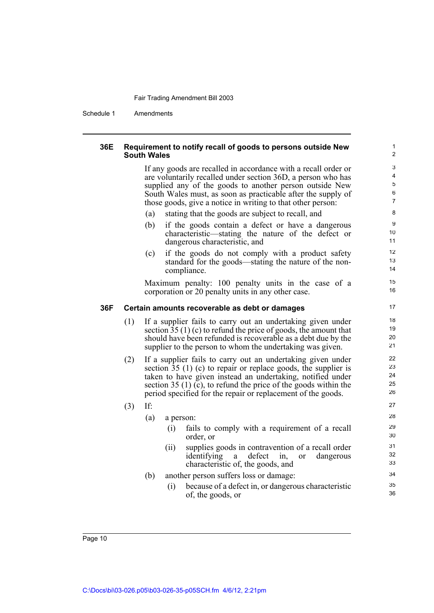Schedule 1 Amendments

#### **36E Requirement to notify recall of goods to persons outside New South Wales**

If any goods are recalled in accordance with a recall order or are voluntarily recalled under section 36D, a person who has supplied any of the goods to another person outside New South Wales must, as soon as practicable after the supply of those goods, give a notice in writing to that other person:

- (a) stating that the goods are subject to recall, and
- (b) if the goods contain a defect or have a dangerous characteristic—stating the nature of the defect or dangerous characteristic, and
- (c) if the goods do not comply with a product safety standard for the goods—stating the nature of the noncompliance.

Maximum penalty: 100 penalty units in the case of a corporation or 20 penalty units in any other case.

#### **36F Certain amounts recoverable as debt or damages**

- (1) If a supplier fails to carry out an undertaking given under section 35 (1) (c) to refund the price of goods, the amount that should have been refunded is recoverable as a debt due by the supplier to the person to whom the undertaking was given.
- (2) If a supplier fails to carry out an undertaking given under section 35 (1) (c) to repair or replace goods, the supplier is taken to have given instead an undertaking, notified under section 35 (1) (c), to refund the price of the goods within the period specified for the repair or replacement of the goods.
- (3) If:

#### (a) a person:

- (i) fails to comply with a requirement of a recall order, or
- (ii) supplies goods in contravention of a recall order identifying a defect in, or dangerous characteristic of, the goods, and
- (b) another person suffers loss or damage:
	- (i) because of a defect in, or dangerous characteristic of, the goods, or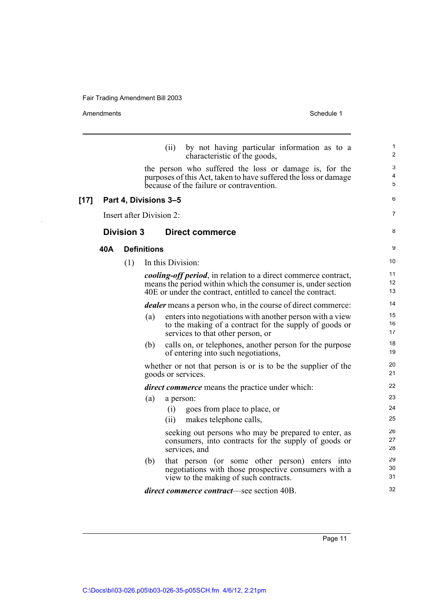$\bar{\mathcal{A}}$ 

|      | Amendments |                   |                    | Schedule 1                                                                                                                                                                                            |                                |
|------|------------|-------------------|--------------------|-------------------------------------------------------------------------------------------------------------------------------------------------------------------------------------------------------|--------------------------------|
|      |            |                   |                    | by not having particular information as to a<br>(ii)<br>characteristic of the goods,                                                                                                                  | $\mathbf{1}$<br>$\overline{2}$ |
|      |            |                   |                    | the person who suffered the loss or damage is, for the<br>purposes of this Act, taken to have suffered the loss or damage<br>because of the failure or contravention.                                 | 3<br>$\overline{4}$<br>5       |
| [17] |            |                   |                    | Part 4, Divisions 3-5                                                                                                                                                                                 | 6                              |
|      |            |                   |                    | Insert after Division 2:                                                                                                                                                                              | 7                              |
|      |            | <b>Division 3</b> |                    | <b>Direct commerce</b>                                                                                                                                                                                | 8                              |
|      | 40A        |                   | <b>Definitions</b> |                                                                                                                                                                                                       | 9                              |
|      |            | (1)               |                    | In this Division:                                                                                                                                                                                     | 10                             |
|      |            |                   |                    | <i>cooling-off period</i> , in relation to a direct commerce contract,<br>means the period within which the consumer is, under section<br>40E or under the contract, entitled to cancel the contract. | 11<br>12<br>13                 |
|      |            |                   |                    | <i>dealer</i> means a person who, in the course of direct commerce:                                                                                                                                   | 14                             |
|      |            |                   | (a)                | enters into negotiations with another person with a view<br>to the making of a contract for the supply of goods or<br>services to that other person, or                                               | 15<br>16<br>17                 |
|      |            |                   | (b)                | calls on, or telephones, another person for the purpose<br>of entering into such negotiations,                                                                                                        | 18<br>19                       |
|      |            |                   |                    | whether or not that person is or is to be the supplier of the<br>goods or services.                                                                                                                   | 20<br>21                       |
|      |            |                   |                    | <i>direct commerce</i> means the practice under which:                                                                                                                                                | 22                             |
|      |            |                   | (a)                | a person:<br>goes from place to place, or<br>(i)<br>(ii)<br>makes telephone calls,                                                                                                                    | 23<br>24<br>25                 |
|      |            |                   |                    | seeking out persons who may be prepared to enter, as<br>consumers, into contracts for the supply of goods or<br>services, and                                                                         | 26<br>27<br>28                 |
|      |            |                   | (b)                | that person (or some other person) enters into<br>negotiations with those prospective consumers with a<br>view to the making of such contracts.                                                       | 29<br>30<br>31                 |
|      |            |                   |                    | <i>direct commerce contract</i> —see section 40B.                                                                                                                                                     | 32                             |

Page 11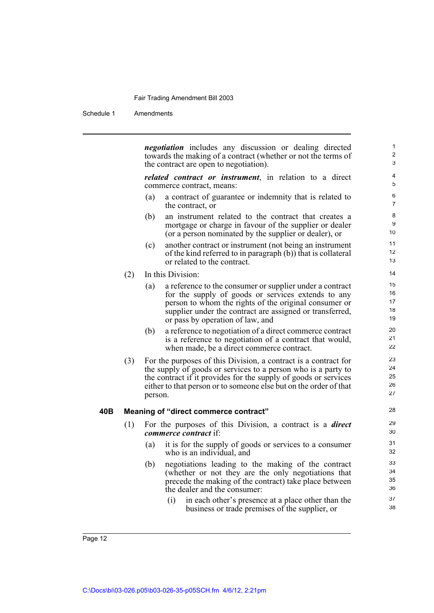Schedule 1 Amendments

*negotiation* includes any discussion or dealing directed towards the making of a contract (whether or not the terms of the contract are open to negotiation).

*related contract or instrument*, in relation to a direct commerce contract, means:

- (a) a contract of guarantee or indemnity that is related to the contract, or
- (b) an instrument related to the contract that creates a mortgage or charge in favour of the supplier or dealer (or a person nominated by the supplier or dealer), or
- (c) another contract or instrument (not being an instrument of the kind referred to in paragraph (b)) that is collateral or related to the contract.
- (2) In this Division:
	- (a) a reference to the consumer or supplier under a contract for the supply of goods or services extends to any person to whom the rights of the original consumer or supplier under the contract are assigned or transferred, or pass by operation of law, and
	- (b) a reference to negotiation of a direct commerce contract is a reference to negotiation of a contract that would, when made, be a direct commerce contract.
- (3) For the purposes of this Division, a contract is a contract for the supply of goods or services to a person who is a party to the contract if it provides for the supply of goods or services either to that person or to someone else but on the order of that person.

#### **40B Meaning of "direct commerce contract"**

- (1) For the purposes of this Division, a contract is a *direct commerce contract* if:
	- (a) it is for the supply of goods or services to a consumer who is an individual, and
	- (b) negotiations leading to the making of the contract (whether or not they are the only negotiations that precede the making of the contract) take place between the dealer and the consumer:
		- (i) in each other's presence at a place other than the business or trade premises of the supplier, or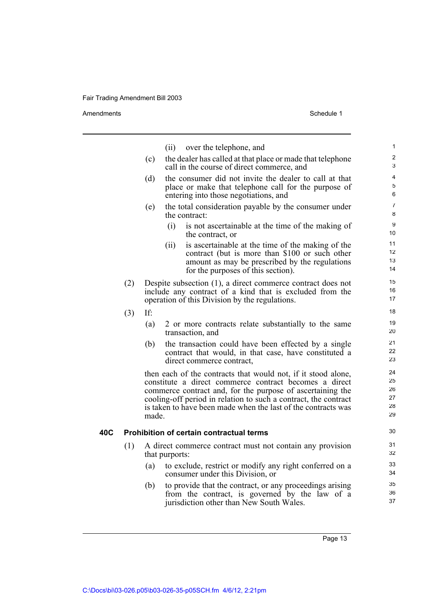Amendments **Schedule 1** Schedule 1

(ii) over the telephone, and (c) the dealer has called at that place or made that telephone call in the course of direct commerce, and (d) the consumer did not invite the dealer to call at that place or make that telephone call for the purpose of entering into those negotiations, and (e) the total consideration payable by the consumer under the contract: (i) is not ascertainable at the time of the making of the contract, or (ii) is ascertainable at the time of the making of the contract (but is more than \$100 or such other amount as may be prescribed by the regulations for the purposes of this section). (2) Despite subsection (1), a direct commerce contract does not include any contract of a kind that is excluded from the operation of this Division by the regulations. (3) If: (a) 2 or more contracts relate substantially to the same transaction, and (b) the transaction could have been effected by a single contract that would, in that case, have constituted a direct commerce contract, then each of the contracts that would not, if it stood alone, constitute a direct commerce contract becomes a direct commerce contract and, for the purpose of ascertaining the cooling-off period in relation to such a contract, the contract is taken to have been made when the last of the contracts was made. **40C Prohibition of certain contractual terms** (1) A direct commerce contract must not contain any provision that purports: (a) to exclude, restrict or modify any right conferred on a consumer under this Division, or (b) to provide that the contract, or any proceedings arising from the contract, is governed by the law of a 1 2 3 4 5 6 7 8 9 10 11 12 13 14 15 16 17 18 19 20 21 22 23 24 25 26 27 28 29 30 31 32 33 34 35 36 37

jurisdiction other than New South Wales.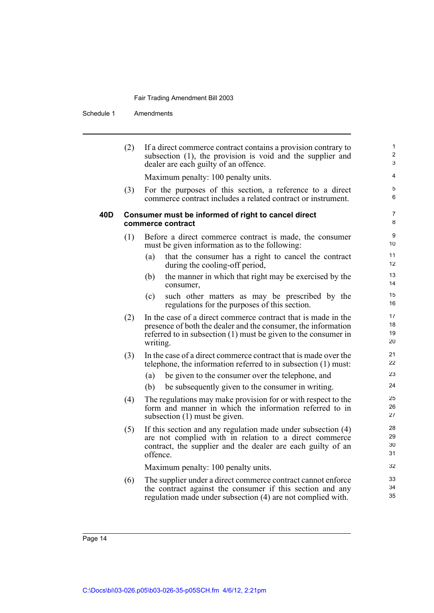Schedule 1 Amendments

|     | (2) | If a direct commerce contract contains a provision contrary to<br>subsection (1), the provision is void and the supplier and<br>dealer are each guilty of an offence.                                          | $\mathbf{1}$<br>$\overline{2}$<br>3 |
|-----|-----|----------------------------------------------------------------------------------------------------------------------------------------------------------------------------------------------------------------|-------------------------------------|
|     |     | Maximum penalty: 100 penalty units.                                                                                                                                                                            | 4                                   |
|     | (3) | For the purposes of this section, a reference to a direct<br>commerce contract includes a related contract or instrument.                                                                                      | 5<br>6                              |
| 40D |     | Consumer must be informed of right to cancel direct<br>commerce contract                                                                                                                                       | $\overline{7}$<br>8                 |
|     | (1) | Before a direct commerce contract is made, the consumer<br>must be given information as to the following:                                                                                                      | 9<br>10                             |
|     |     | (a)<br>that the consumer has a right to cancel the contract<br>during the cooling-off period,                                                                                                                  | 11<br>12                            |
|     |     | the manner in which that right may be exercised by the<br>(b)<br>consumer,                                                                                                                                     | 13<br>14                            |
|     |     | such other matters as may be prescribed by the<br>(c)<br>regulations for the purposes of this section.                                                                                                         | 15<br>16                            |
|     | (2) | In the case of a direct commerce contract that is made in the<br>presence of both the dealer and the consumer, the information<br>referred to in subsection $(1)$ must be given to the consumer in<br>writing. | 17<br>18<br>19<br>20                |
|     | (3) | In the case of a direct commerce contract that is made over the<br>telephone, the information referred to in subsection (1) must:                                                                              | 21<br>22                            |
|     |     | be given to the consumer over the telephone, and<br>(a)                                                                                                                                                        | 23                                  |
|     |     | be subsequently given to the consumer in writing.<br>(b)                                                                                                                                                       | 24                                  |
|     | (4) | The regulations may make provision for or with respect to the<br>form and manner in which the information referred to in<br>subsection $(1)$ must be given.                                                    | 25<br>26<br>27                      |
|     | (5) | If this section and any regulation made under subsection (4)<br>are not complied with in relation to a direct commerce<br>contract, the supplier and the dealer are each guilty of an<br>offence.              | 28<br>29<br>30<br>31                |
|     |     | Maximum penalty: 100 penalty units.                                                                                                                                                                            | 32                                  |
|     | (6) | The supplier under a direct commerce contract cannot enforce<br>the contract against the consumer if this section and any<br>regulation made under subsection (4) are not complied with.                       | 33<br>34<br>35                      |
|     |     |                                                                                                                                                                                                                |                                     |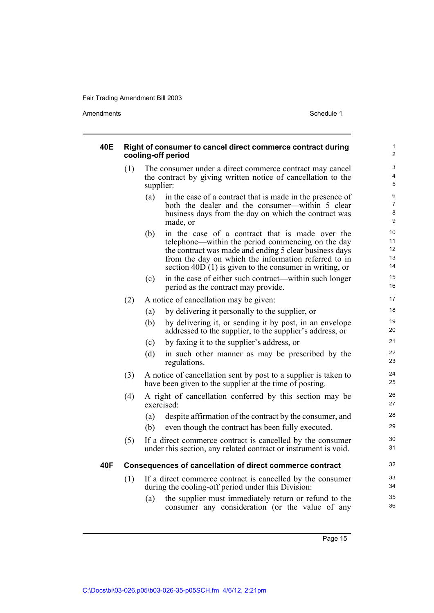Amendments Schedule 1

| <b>40E</b> | Right of consumer to cancel direct commerce contract during<br>cooling-off period |                                                                                                                                                                                                                                                                                           |                               |  |  |  |
|------------|-----------------------------------------------------------------------------------|-------------------------------------------------------------------------------------------------------------------------------------------------------------------------------------------------------------------------------------------------------------------------------------------|-------------------------------|--|--|--|
|            | (1)                                                                               | The consumer under a direct commerce contract may cancel<br>the contract by giving written notice of cancellation to the<br>supplier:                                                                                                                                                     | 3<br>4<br>5                   |  |  |  |
|            |                                                                                   | (a)<br>in the case of a contract that is made in the presence of<br>both the dealer and the consumer—within 5 clear<br>business days from the day on which the contract was<br>made, or                                                                                                   | 6<br>$\overline{7}$<br>8<br>9 |  |  |  |
|            |                                                                                   | in the case of a contract that is made over the<br>(b)<br>telephone—within the period commencing on the day<br>the contract was made and ending 5 clear business days<br>from the day on which the information referred to in<br>section $40D(1)$ is given to the consumer in writing, or | 10<br>11<br>12<br>13<br>14    |  |  |  |
|            |                                                                                   | in the case of either such contract—within such longer<br>(c)<br>period as the contract may provide.                                                                                                                                                                                      | 15<br>16                      |  |  |  |
|            | (2)                                                                               | A notice of cancellation may be given:                                                                                                                                                                                                                                                    | 17                            |  |  |  |
|            |                                                                                   | by delivering it personally to the supplier, or<br>(a)                                                                                                                                                                                                                                    | 18                            |  |  |  |
|            |                                                                                   | (b)<br>by delivering it, or sending it by post, in an envelope<br>addressed to the supplier, to the supplier's address, or                                                                                                                                                                | 19<br>20                      |  |  |  |
|            |                                                                                   | by faxing it to the supplier's address, or<br>(c)                                                                                                                                                                                                                                         | 21                            |  |  |  |
|            |                                                                                   | (d)<br>in such other manner as may be prescribed by the<br>regulations.                                                                                                                                                                                                                   | 22<br>23                      |  |  |  |
|            | (3)                                                                               | A notice of cancellation sent by post to a supplier is taken to<br>have been given to the supplier at the time of posting.                                                                                                                                                                | 24<br>25                      |  |  |  |
|            | (4)                                                                               | A right of cancellation conferred by this section may be<br>exercised:                                                                                                                                                                                                                    | 26<br>27                      |  |  |  |
|            |                                                                                   | despite affirmation of the contract by the consumer, and<br>(a)                                                                                                                                                                                                                           | 28                            |  |  |  |
|            |                                                                                   | (b)<br>even though the contract has been fully executed.                                                                                                                                                                                                                                  | 29                            |  |  |  |
|            | (5)                                                                               | If a direct commerce contract is cancelled by the consumer<br>under this section, any related contract or instrument is void.                                                                                                                                                             | 30<br>31                      |  |  |  |
| 40F        |                                                                                   | Consequences of cancellation of direct commerce contract                                                                                                                                                                                                                                  | 32                            |  |  |  |
|            | (1)                                                                               | If a direct commerce contract is cancelled by the consumer<br>during the cooling-off period under this Division:                                                                                                                                                                          | 33<br>34                      |  |  |  |
|            |                                                                                   | the supplier must immediately return or refund to the<br>(a)<br>consumer any consideration (or the value of any                                                                                                                                                                           | 35<br>36                      |  |  |  |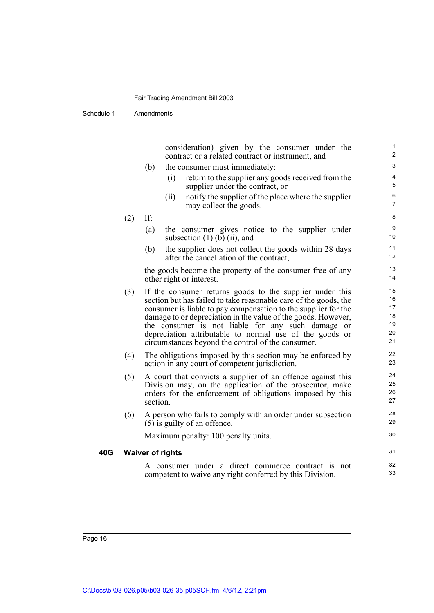Schedule 1 Amendments

|     |     | consideration) given by the consumer under the<br>contract or a related contract or instrument, and                                                                                                                                                                                                                                                                                                                                  | 1<br>$\overline{c}$                    |
|-----|-----|--------------------------------------------------------------------------------------------------------------------------------------------------------------------------------------------------------------------------------------------------------------------------------------------------------------------------------------------------------------------------------------------------------------------------------------|----------------------------------------|
|     |     | (b)<br>the consumer must immediately:                                                                                                                                                                                                                                                                                                                                                                                                | 3                                      |
|     |     | return to the supplier any goods received from the<br>(i)<br>supplier under the contract, or                                                                                                                                                                                                                                                                                                                                         | 4<br>5                                 |
|     |     | notify the supplier of the place where the supplier<br>(ii)<br>may collect the goods.                                                                                                                                                                                                                                                                                                                                                | 6<br>7                                 |
|     | (2) | If:                                                                                                                                                                                                                                                                                                                                                                                                                                  | 8                                      |
|     |     | the consumer gives notice to the supplier under<br>(a)<br>subsection $(1)$ (b) $(ii)$ , and                                                                                                                                                                                                                                                                                                                                          | 9<br>10                                |
|     |     | the supplier does not collect the goods within 28 days<br>(b)<br>after the cancellation of the contract,                                                                                                                                                                                                                                                                                                                             | 11<br>12                               |
|     |     | the goods become the property of the consumer free of any<br>other right or interest.                                                                                                                                                                                                                                                                                                                                                | 13<br>14                               |
|     | (3) | If the consumer returns goods to the supplier under this<br>section but has failed to take reasonable care of the goods, the<br>consumer is liable to pay compensation to the supplier for the<br>damage to or depreciation in the value of the goods. However,<br>the consumer is not liable for any such damage or<br>depreciation attributable to normal use of the goods or<br>circumstances beyond the control of the consumer. | 15<br>16<br>17<br>18<br>19<br>20<br>21 |
|     | (4) | The obligations imposed by this section may be enforced by<br>action in any court of competent jurisdiction.                                                                                                                                                                                                                                                                                                                         | 22<br>23                               |
|     | (5) | A court that convicts a supplier of an offence against this<br>Division may, on the application of the prosecutor, make<br>orders for the enforcement of obligations imposed by this<br>section.                                                                                                                                                                                                                                     | 24<br>25<br>26<br>27                   |
|     | (6) | A person who fails to comply with an order under subsection<br>$(5)$ is guilty of an offence.                                                                                                                                                                                                                                                                                                                                        | 28<br>29                               |
|     |     | Maximum penalty: 100 penalty units.                                                                                                                                                                                                                                                                                                                                                                                                  | 30                                     |
| 40G |     | <b>Waiver of rights</b>                                                                                                                                                                                                                                                                                                                                                                                                              | 31                                     |
|     |     | A consumer under a direct commerce contract is not<br>competent to waive any right conferred by this Division.                                                                                                                                                                                                                                                                                                                       | 32<br>33                               |
|     |     |                                                                                                                                                                                                                                                                                                                                                                                                                                      |                                        |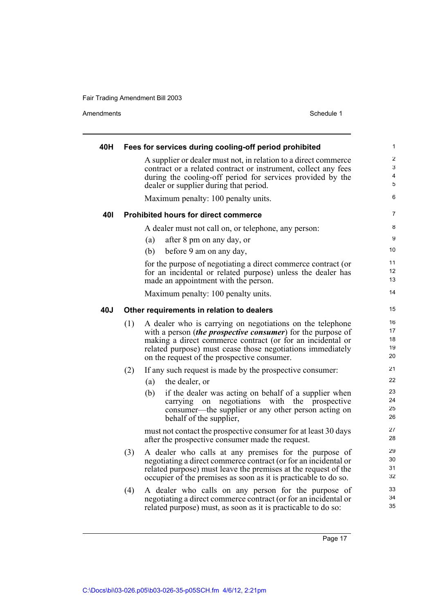Amendments Schedule 1

| 40H |     | Fees for services during cooling-off period prohibited                                                    | 1        |
|-----|-----|-----------------------------------------------------------------------------------------------------------|----------|
|     |     | A supplier or dealer must not, in relation to a direct commerce                                           | 2        |
|     |     | contract or a related contract or instrument, collect any fees                                            | 3        |
|     |     | during the cooling-off period for services provided by the                                                | 4<br>5   |
|     |     | dealer or supplier during that period.                                                                    |          |
|     |     | Maximum penalty: 100 penalty units.                                                                       | 6        |
| 401 |     | <b>Prohibited hours for direct commerce</b>                                                               | 7        |
|     |     | A dealer must not call on, or telephone, any person:                                                      | 8        |
|     |     | after 8 pm on any day, or<br>(a)                                                                          | 9        |
|     |     | (b)<br>before 9 am on any day,                                                                            | 10       |
|     |     | for the purpose of negotiating a direct commerce contract (or                                             | 11       |
|     |     | for an incidental or related purpose) unless the dealer has                                               | 12       |
|     |     | made an appointment with the person.                                                                      | 13       |
|     |     | Maximum penalty: 100 penalty units.                                                                       | 14       |
| 40J |     | Other requirements in relation to dealers                                                                 | 15       |
|     | (1) | A dealer who is carrying on negotiations on the telephone                                                 | 16       |
|     |     | with a person <i>(the prospective consumer)</i> for the purpose of                                        | 17       |
|     |     | making a direct commerce contract (or for an incidental or                                                | 18<br>19 |
|     |     | related purpose) must cease those negotiations immediately<br>on the request of the prospective consumer. | 20       |
|     |     |                                                                                                           | 21       |
|     | (2) | If any such request is made by the prospective consumer:                                                  | 22       |
|     |     | (a)<br>the dealer, or                                                                                     |          |
|     |     | if the dealer was acting on behalf of a supplier when<br>(b)                                              | 23<br>24 |
|     |     | on negotiations with the prospective<br>carrying<br>consumer—the supplier or any other person acting on   | 25       |
|     |     | behalf of the supplier,                                                                                   | 26       |
|     |     | must not contact the prospective consumer for at least 30 days                                            | 27       |
|     |     | after the prospective consumer made the request.                                                          | 28       |
|     | (3) | A dealer who calls at any premises for the purpose of                                                     | 29       |
|     |     | negotiating a direct commerce contract (or for an incidental or                                           | 30       |
|     |     | related purpose) must leave the premises at the request of the                                            | 31<br>32 |
|     |     | occupier of the premises as soon as it is practicable to do so.                                           |          |
|     | (4) | A dealer who calls on any person for the purpose of                                                       | 33       |
|     |     | negotiating a direct commerce contract (or for an incidental or                                           | 34<br>35 |
|     |     | related purpose) must, as soon as it is practicable to do so:                                             |          |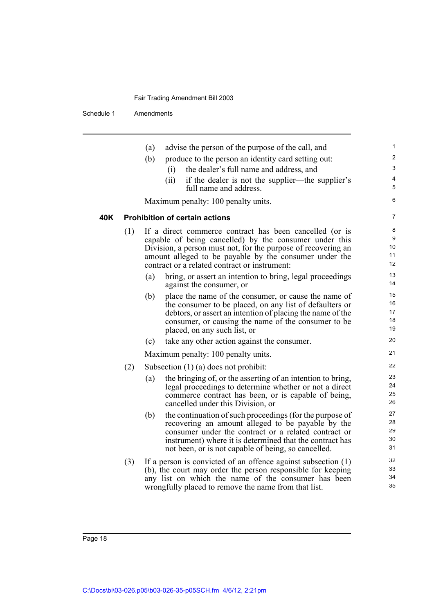Schedule 1 Amendments

|     |     | (a)<br>(b) | (i)<br>(ii) | advise the person of the purpose of the call, and<br>produce to the person an identity card setting out:<br>the dealer's full name and address, and<br>if the dealer is not the supplier—the supplier's<br>full name and address.<br>Maximum penalty: 100 penalty units.                      | 1<br>$\overline{a}$<br>3<br>4<br>5<br>6 |
|-----|-----|------------|-------------|-----------------------------------------------------------------------------------------------------------------------------------------------------------------------------------------------------------------------------------------------------------------------------------------------|-----------------------------------------|
| 40K |     |            |             | <b>Prohibition of certain actions</b>                                                                                                                                                                                                                                                         | $\overline{7}$                          |
|     | (1) |            |             | If a direct commerce contract has been cancelled (or is<br>capable of being cancelled) by the consumer under this<br>Division, a person must not, for the purpose of recovering an<br>amount alleged to be payable by the consumer under the<br>contract or a related contract or instrument: | 8<br>9<br>10<br>11<br>12                |
|     |     | (a)        |             | bring, or assert an intention to bring, legal proceedings<br>against the consumer, or                                                                                                                                                                                                         | 13<br>14                                |
|     |     | (b)        |             | place the name of the consumer, or cause the name of<br>the consumer to be placed, on any list of defaulters or<br>debtors, or assert an intention of placing the name of the<br>consumer, or causing the name of the consumer to be<br>placed, on any such list, or                          | 15<br>16<br>17<br>18<br>19              |
|     |     | (c)        |             | take any other action against the consumer.                                                                                                                                                                                                                                                   | 20                                      |
|     |     |            |             | Maximum penalty: 100 penalty units.                                                                                                                                                                                                                                                           | 21                                      |
|     | (2) |            |             | Subsection $(1)$ (a) does not prohibit:                                                                                                                                                                                                                                                       | 22                                      |
|     |     | (a)        |             | the bringing of, or the asserting of an intention to bring,<br>legal proceedings to determine whether or not a direct<br>commerce contract has been, or is capable of being,<br>cancelled under this Division, or                                                                             | 23<br>24<br>25<br>26                    |
|     |     | (b)        |             | the continuation of such proceedings (for the purpose of<br>recovering an amount alleged to be payable by the<br>consumer under the contract or a related contract or<br>instrument) where it is determined that the contract has<br>not been, or is not capable of being, so cancelled.      | 27<br>28<br>29<br>30<br>31              |
|     | (3) |            |             | If a person is convicted of an offence against subsection $(1)$<br>(b), the court may order the person responsible for keeping<br>any list on which the name of the consumer has been<br>wrongfully placed to remove the name from that list.                                                 | 32<br>33<br>34<br>35                    |
|     |     |            |             |                                                                                                                                                                                                                                                                                               |                                         |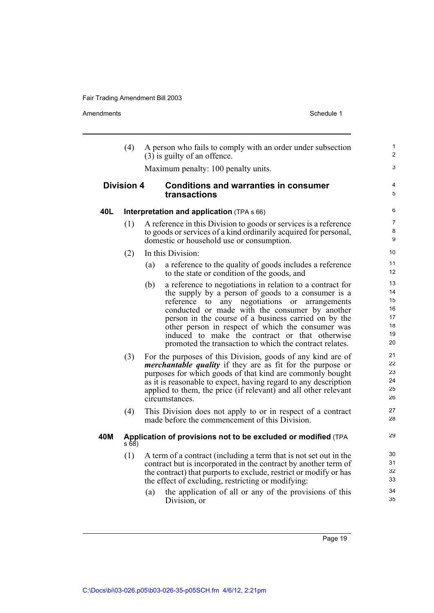Amendments **Amendments** Schedule 1 (4) A person who fails to comply with an order under subsection  $(3)$  is guilty of an offence. Maximum penalty: 100 penalty units. **Division 4 Conditions and warranties in consumer transactions 40L Interpretation and application** (TPA s 66) (1) A reference in this Division to goods or services is a reference to goods or services of a kind ordinarily acquired for personal, domestic or household use or consumption. (2) In this Division: (a) a reference to the quality of goods includes a reference to the state or condition of the goods, and (b) a reference to negotiations in relation to a contract for the supply by a person of goods to a consumer is a reference to any negotiations or arrangements conducted or made with the consumer by another person in the course of a business carried on by the other person in respect of which the consumer was induced to make the contract or that otherwise promoted the transaction to which the contract relates. (3) For the purposes of this Division, goods of any kind are of *merchantable quality* if they are as fit for the purpose or purposes for which goods of that kind are commonly bought as it is reasonable to expect, having regard to any description applied to them, the price (if relevant) and all other relevant circumstances. (4) This Division does not apply to or in respect of a contract made before the commencement of this Division. **40M Application of provisions not to be excluded or modified** (TPA s 68) (1) A term of a contract (including a term that is not set out in the contract but is incorporated in the contract by another term of the contract) that purports to exclude, restrict or modify or has the effect of excluding, restricting or modifying: (a) the application of all or any of the provisions of this Division, or 2 3 4 5 6 7 8 **9** 10 11 12 13 14 15 16 17 18 19 20 21 22 23 24 25 26 27 28 29 30 31 32 33 34 35

1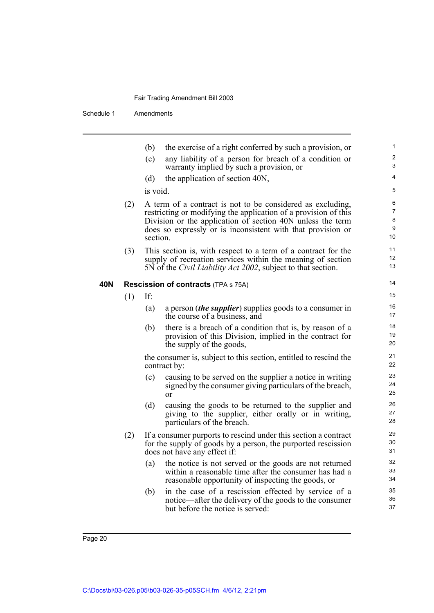Schedule 1 Amendments

|     |                                            | (b)      | the exercise of a right conferred by such a provision, or                                                                                                                                                                                                  | $\mathbf{1}$                                     |  |  |  |  |  |
|-----|--------------------------------------------|----------|------------------------------------------------------------------------------------------------------------------------------------------------------------------------------------------------------------------------------------------------------------|--------------------------------------------------|--|--|--|--|--|
|     |                                            | (c)      | any liability of a person for breach of a condition or                                                                                                                                                                                                     | 2<br>3                                           |  |  |  |  |  |
|     |                                            |          | warranty implied by such a provision, or                                                                                                                                                                                                                   | 4                                                |  |  |  |  |  |
|     |                                            | (d)      | the application of section 40N,                                                                                                                                                                                                                            | 5                                                |  |  |  |  |  |
|     |                                            | is void. |                                                                                                                                                                                                                                                            |                                                  |  |  |  |  |  |
|     | (2)                                        | section. | A term of a contract is not to be considered as excluding,<br>restricting or modifying the application of a provision of this<br>Division or the application of section 40N unless the term<br>does so expressly or is inconsistent with that provision or | 6<br>$\overline{7}$<br>8<br>9<br>10 <sup>1</sup> |  |  |  |  |  |
|     | (3)                                        |          | This section is, with respect to a term of a contract for the<br>supply of recreation services within the meaning of section<br>5N of the <i>Civil Liability Act 2002</i> , subject to that section.                                                       | 11<br>12 <sup>°</sup><br>13                      |  |  |  |  |  |
| 40N | <b>Rescission of contracts (TPA s 75A)</b> |          |                                                                                                                                                                                                                                                            |                                                  |  |  |  |  |  |
|     | (1)                                        | If:      |                                                                                                                                                                                                                                                            | 15                                               |  |  |  |  |  |
|     |                                            | (a)      | a person <i>(the supplier)</i> supplies goods to a consumer in<br>the course of a business, and                                                                                                                                                            | 16<br>17                                         |  |  |  |  |  |
|     |                                            | (b)      | there is a breach of a condition that is, by reason of a<br>provision of this Division, implied in the contract for<br>the supply of the goods,                                                                                                            | 18<br>19<br>20                                   |  |  |  |  |  |
|     |                                            |          | the consumer is, subject to this section, entitled to rescind the<br>contract by:                                                                                                                                                                          | 21<br>22                                         |  |  |  |  |  |
|     |                                            | (c)      | causing to be served on the supplier a notice in writing<br>signed by the consumer giving particulars of the breach,<br><sub>or</sub>                                                                                                                      | 23<br>24<br>25                                   |  |  |  |  |  |
|     |                                            | (d)      | causing the goods to be returned to the supplier and<br>giving to the supplier, either orally or in writing,<br>particulars of the breach.                                                                                                                 | 26<br>27<br>28                                   |  |  |  |  |  |
|     | (2)                                        |          | If a consumer purports to rescind under this section a contract<br>for the supply of goods by a person, the purported rescission<br>does not have any effect if:                                                                                           | 29<br>30<br>31                                   |  |  |  |  |  |
|     |                                            | (a)      | the notice is not served or the goods are not returned<br>within a reasonable time after the consumer has had a<br>reasonable opportunity of inspecting the goods, or                                                                                      | 32<br>33<br>34                                   |  |  |  |  |  |
|     |                                            | (b)      | in the case of a rescission effected by service of a<br>notice—after the delivery of the goods to the consumer<br>but before the notice is served:                                                                                                         | 35<br>36<br>37                                   |  |  |  |  |  |
|     |                                            |          |                                                                                                                                                                                                                                                            |                                                  |  |  |  |  |  |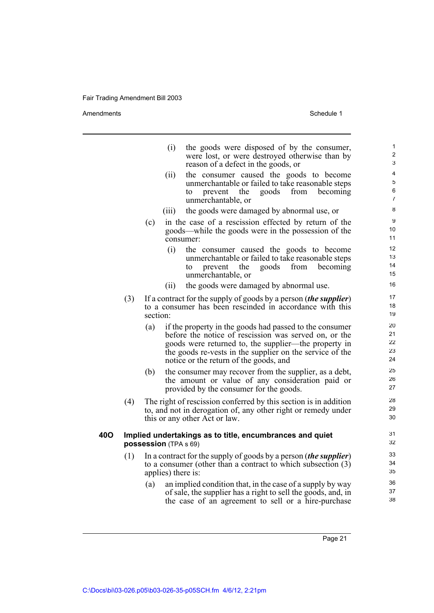Amendments Schedule 1

|     |     |                       | (i)                | the goods were disposed of by the consumer,<br>were lost, or were destroyed otherwise than by                                                                                                                                                                                  | $\mathbf{1}$<br>$\boldsymbol{2}$<br>3 |
|-----|-----|-----------------------|--------------------|--------------------------------------------------------------------------------------------------------------------------------------------------------------------------------------------------------------------------------------------------------------------------------|---------------------------------------|
|     |     |                       | (ii)               | reason of a defect in the goods, or<br>the consumer caused the goods to become<br>unmerchantable or failed to take reasonable steps                                                                                                                                            | 4<br>5<br>6                           |
|     |     |                       |                    | prevent<br>the<br>goods<br>from<br>becoming<br>to<br>unmerchantable, or                                                                                                                                                                                                        | 7                                     |
|     |     |                       | (111)              | the goods were damaged by abnormal use, or                                                                                                                                                                                                                                     | 8                                     |
|     |     | (c)                   |                    | in the case of a rescission effected by return of the<br>goods—while the goods were in the possession of the<br>consumer:                                                                                                                                                      | 9<br>10<br>11                         |
|     |     |                       | (i)                | the consumer caused the goods to become<br>unmerchantable or failed to take reasonable steps<br>prevent<br>the<br>goods<br>from<br>becoming<br>to<br>unmerchantable, or                                                                                                        | 12<br>13<br>14<br>15                  |
|     |     |                       | (ii)               | the goods were damaged by abnormal use.                                                                                                                                                                                                                                        | 16                                    |
|     | (3) | section:              |                    | If a contract for the supply of goods by a person ( <i>the supplier</i> )<br>to a consumer has been rescinded in accordance with this                                                                                                                                          | $17\,$<br>18<br>19                    |
|     |     | (a)                   |                    | if the property in the goods had passed to the consumer<br>before the notice of rescission was served on, or the<br>goods were returned to, the supplier—the property in<br>the goods re-vests in the supplier on the service of the<br>notice or the return of the goods, and | 20<br>21<br>22<br>23<br>24            |
|     |     | (b)                   |                    | the consumer may recover from the supplier, as a debt,<br>the amount or value of any consideration paid or<br>provided by the consumer for the goods.                                                                                                                          | 25<br>26<br>27                        |
|     | (4) |                       |                    | The right of rescission conferred by this section is in addition<br>to, and not in derogation of, any other right or remedy under<br>this or any other Act or law.                                                                                                             | 28<br>29<br>30                        |
| 40O |     | possession (TPA s 69) |                    | Implied undertakings as to title, encumbrances and quiet                                                                                                                                                                                                                       | 31<br>32                              |
|     | (1) |                       | applies) there is: | In a contract for the supply of goods by a person (the supplier)<br>to a consumer (other than a contract to which subsection $(3)$ )                                                                                                                                           | 33<br>34<br>35                        |
|     |     | (a)                   |                    | an implied condition that, in the case of a supply by way<br>of sale, the supplier has a right to sell the goods, and, in<br>the case of an agreement to sell or a hire-purchase                                                                                               | 36<br>37<br>38                        |

the case of an agreement to sell or a hire-purchase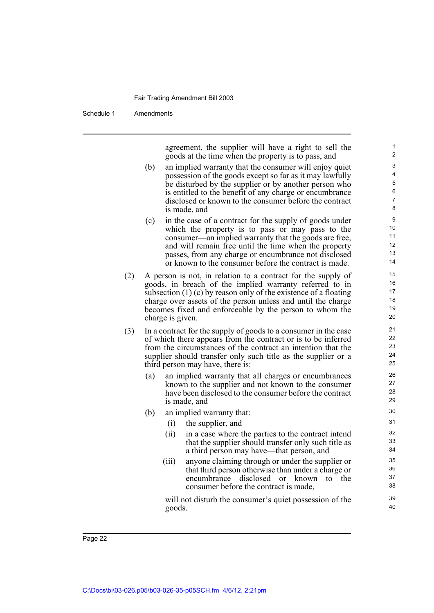Schedule 1 Amendments

agreement, the supplier will have a right to sell the goods at the time when the property is to pass, and

- (b) an implied warranty that the consumer will enjoy quiet possession of the goods except so far as it may lawfully be disturbed by the supplier or by another person who is entitled to the benefit of any charge or encumbrance disclosed or known to the consumer before the contract is made, and
- (c) in the case of a contract for the supply of goods under which the property is to pass or may pass to the consumer—an implied warranty that the goods are free, and will remain free until the time when the property passes, from any charge or encumbrance not disclosed or known to the consumer before the contract is made.
- (2) A person is not, in relation to a contract for the supply of goods, in breach of the implied warranty referred to in subsection (1) (c) by reason only of the existence of a floating charge over assets of the person unless and until the charge becomes fixed and enforceable by the person to whom the charge is given.
- (3) In a contract for the supply of goods to a consumer in the case of which there appears from the contract or is to be inferred from the circumstances of the contract an intention that the supplier should transfer only such title as the supplier or a third person may have, there is:
	- (a) an implied warranty that all charges or encumbrances known to the supplier and not known to the consumer have been disclosed to the consumer before the contract is made, and
	- (b) an implied warranty that:
		- (i) the supplier, and
		- (ii) in a case where the parties to the contract intend that the supplier should transfer only such title as a third person may have—that person, and
		- (iii) anyone claiming through or under the supplier or that third person otherwise than under a charge or encumbrance disclosed or known to the consumer before the contract is made,

will not disturb the consumer's quiet possession of the goods.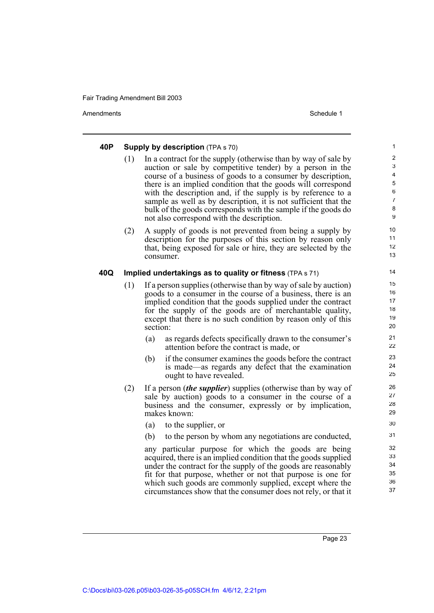Amendments **Schedule 1** Schedule 1

#### **40P Supply by description** (TPA s 70) (1) In a contract for the supply (otherwise than by way of sale by auction or sale by competitive tender) by a person in the course of a business of goods to a consumer by description, there is an implied condition that the goods will correspond with the description and, if the supply is by reference to a sample as well as by description, it is not sufficient that the bulk of the goods corresponds with the sample if the goods do not also correspond with the description. (2) A supply of goods is not prevented from being a supply by description for the purposes of this section by reason only that, being exposed for sale or hire, they are selected by the consumer. **40Q Implied undertakings as to quality or fitness** (TPA s 71) (1) If a person supplies (otherwise than by way of sale by auction) goods to a consumer in the course of a business, there is an implied condition that the goods supplied under the contract for the supply of the goods are of merchantable quality, except that there is no such condition by reason only of this section: (a) as regards defects specifically drawn to the consumer's attention before the contract is made, or (b) if the consumer examines the goods before the contract is made—as regards any defect that the examination ought to have revealed. (2) If a person (*the supplier*) supplies (otherwise than by way of sale by auction) goods to a consumer in the course of a business and the consumer, expressly or by implication, makes known: (a) to the supplier, or (b) to the person by whom any negotiations are conducted, any particular purpose for which the goods are being acquired, there is an implied condition that the goods supplied under the contract for the supply of the goods are reasonably fit for that purpose, whether or not that purpose is one for which such goods are commonly supplied, except where the circumstances show that the consumer does not rely, or that it 1  $\overline{2}$ 3 4 5 6 7 8 9 10 11 12 13 14 15 16 17 18 19  $20$ 21 22 23 24 25 26 27 28 29 30 31 32 33 34 35 36 37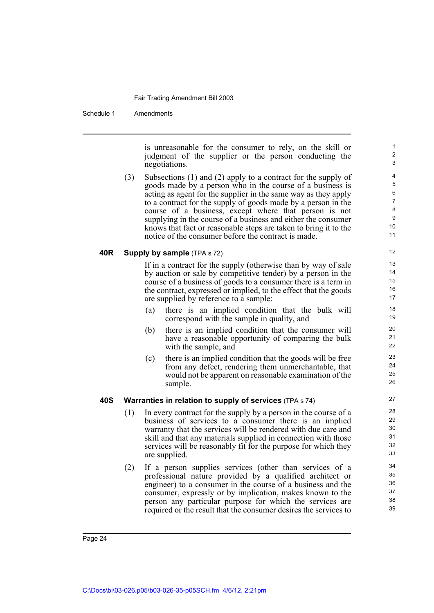Schedule 1 Amendments

is unreasonable for the consumer to rely, on the skill or judgment of the supplier or the person conducting the negotiations.

(3) Subsections (1) and (2) apply to a contract for the supply of goods made by a person who in the course of a business is acting as agent for the supplier in the same way as they apply to a contract for the supply of goods made by a person in the course of a business, except where that person is not supplying in the course of a business and either the consumer knows that fact or reasonable steps are taken to bring it to the notice of the consumer before the contract is made.

#### **40R Supply by sample** (TPA s 72)

If in a contract for the supply (otherwise than by way of sale by auction or sale by competitive tender) by a person in the course of a business of goods to a consumer there is a term in the contract, expressed or implied, to the effect that the goods are supplied by reference to a sample:

- (a) there is an implied condition that the bulk will correspond with the sample in quality, and
- (b) there is an implied condition that the consumer will have a reasonable opportunity of comparing the bulk with the sample, and
- (c) there is an implied condition that the goods will be free from any defect, rendering them unmerchantable, that would not be apparent on reasonable examination of the sample.

#### **40S Warranties in relation to supply of services** (TPA s 74)

- (1) In every contract for the supply by a person in the course of a business of services to a consumer there is an implied warranty that the services will be rendered with due care and skill and that any materials supplied in connection with those services will be reasonably fit for the purpose for which they are supplied.
- (2) If a person supplies services (other than services of a professional nature provided by a qualified architect or engineer) to a consumer in the course of a business and the consumer, expressly or by implication, makes known to the person any particular purpose for which the services are required or the result that the consumer desires the services to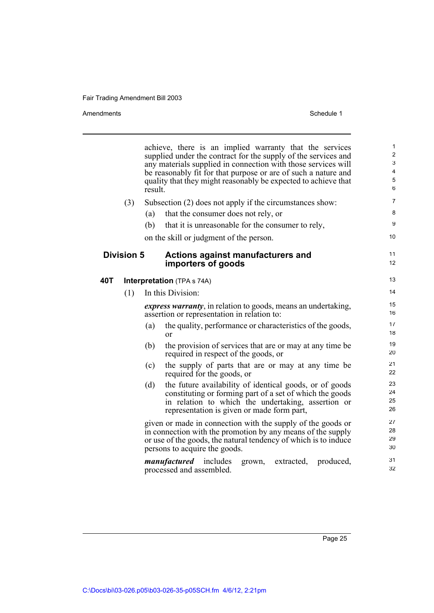Amendments Schedule 1

|     |                                                                                                                                                                                                                                | achieve, there is an implied warranty that the services<br>supplied under the contract for the supply of the services and<br>any materials supplied in connection with those services will<br>be reasonably fit for that purpose or are of such a nature and<br>quality that they might reasonably be expected to achieve that<br>result. | $\mathbf{1}$<br>$\overline{c}$<br>$\mathbf{3}$<br>$\overline{\mathbf{4}}$<br>5<br>$\,6$ |  |  |  |  |
|-----|--------------------------------------------------------------------------------------------------------------------------------------------------------------------------------------------------------------------------------|-------------------------------------------------------------------------------------------------------------------------------------------------------------------------------------------------------------------------------------------------------------------------------------------------------------------------------------------|-----------------------------------------------------------------------------------------|--|--|--|--|
|     | (3)<br>Subsection (2) does not apply if the circumstances show:                                                                                                                                                                |                                                                                                                                                                                                                                                                                                                                           |                                                                                         |  |  |  |  |
|     |                                                                                                                                                                                                                                | that the consumer does not rely, or<br>(a)                                                                                                                                                                                                                                                                                                | 8                                                                                       |  |  |  |  |
|     |                                                                                                                                                                                                                                | (b)<br>that it is unreasonable for the consumer to rely,                                                                                                                                                                                                                                                                                  | 9                                                                                       |  |  |  |  |
|     | on the skill or judgment of the person.                                                                                                                                                                                        |                                                                                                                                                                                                                                                                                                                                           |                                                                                         |  |  |  |  |
|     | <b>Division 5</b>                                                                                                                                                                                                              | <b>Actions against manufacturers and</b><br>importers of goods                                                                                                                                                                                                                                                                            | 11<br>12                                                                                |  |  |  |  |
| 40T |                                                                                                                                                                                                                                | <b>Interpretation</b> (TPA s 74A)                                                                                                                                                                                                                                                                                                         | 13                                                                                      |  |  |  |  |
|     | (1)                                                                                                                                                                                                                            | In this Division:                                                                                                                                                                                                                                                                                                                         |                                                                                         |  |  |  |  |
|     | <i>express warranty</i> , in relation to goods, means an undertaking,<br>assertion or representation in relation to:                                                                                                           |                                                                                                                                                                                                                                                                                                                                           |                                                                                         |  |  |  |  |
|     |                                                                                                                                                                                                                                | the quality, performance or characteristics of the goods,<br>(a)<br>or                                                                                                                                                                                                                                                                    | 17<br>18                                                                                |  |  |  |  |
|     |                                                                                                                                                                                                                                | (b)<br>the provision of services that are or may at any time be<br>required in respect of the goods, or                                                                                                                                                                                                                                   | 19<br>20                                                                                |  |  |  |  |
|     |                                                                                                                                                                                                                                | (c)<br>the supply of parts that are or may at any time be<br>required for the goods, or                                                                                                                                                                                                                                                   | 21<br>22                                                                                |  |  |  |  |
|     |                                                                                                                                                                                                                                | the future availability of identical goods, or of goods<br>(d)<br>constituting or forming part of a set of which the goods<br>in relation to which the undertaking, assertion or<br>representation is given or made form part,                                                                                                            | 23<br>24<br>25<br>26                                                                    |  |  |  |  |
|     | given or made in connection with the supply of the goods or<br>in connection with the promotion by any means of the supply<br>or use of the goods, the natural tendency of which is to induce<br>persons to acquire the goods. | 27<br>28<br>29<br>30                                                                                                                                                                                                                                                                                                                      |                                                                                         |  |  |  |  |
|     |                                                                                                                                                                                                                                | <i>manufactured</i> includes<br>extracted, produced,<br>grown,<br>processed and assembled.                                                                                                                                                                                                                                                | 31<br>32                                                                                |  |  |  |  |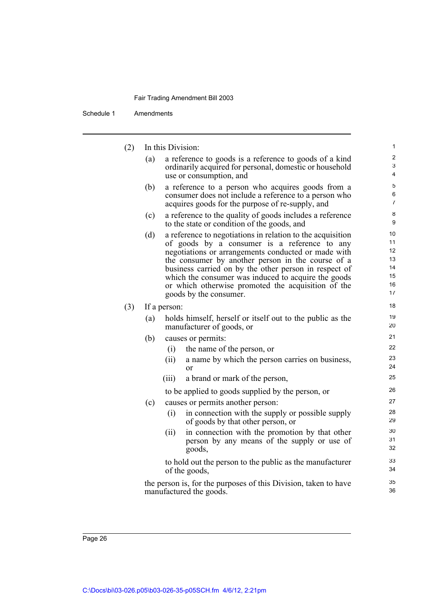Schedule 1 Amendments

| (2) |     | In this Division:                                                                                                                                                                                                                                                                                                                                                                                                      | $\mathbf{1}$                                 |
|-----|-----|------------------------------------------------------------------------------------------------------------------------------------------------------------------------------------------------------------------------------------------------------------------------------------------------------------------------------------------------------------------------------------------------------------------------|----------------------------------------------|
|     | (a) | a reference to goods is a reference to goods of a kind<br>ordinarily acquired for personal, domestic or household<br>use or consumption, and                                                                                                                                                                                                                                                                           | 2<br>3<br>4                                  |
|     | (b) | a reference to a person who acquires goods from a<br>consumer does not include a reference to a person who<br>acquires goods for the purpose of re-supply, and                                                                                                                                                                                                                                                         | 5<br>6<br>$\overline{7}$                     |
|     | (c) | a reference to the quality of goods includes a reference<br>to the state or condition of the goods, and                                                                                                                                                                                                                                                                                                                | 8<br>9                                       |
|     | (d) | a reference to negotiations in relation to the acquisition<br>of goods by a consumer is a reference to any<br>negotiations or arrangements conducted or made with<br>the consumer by another person in the course of a<br>business carried on by the other person in respect of<br>which the consumer was induced to acquire the goods<br>or which otherwise promoted the acquisition of the<br>goods by the consumer. | 10<br>11<br>12<br>13<br>14<br>15<br>16<br>17 |
| (3) |     | If a person:                                                                                                                                                                                                                                                                                                                                                                                                           | 18                                           |
|     | (a) | holds himself, herself or itself out to the public as the<br>manufacturer of goods, or                                                                                                                                                                                                                                                                                                                                 | 19<br>20                                     |
|     | (b) | causes or permits:<br>(i)<br>the name of the person, or<br>a name by which the person carries on business,<br>(ii)<br>or<br>a brand or mark of the person,<br>(iii)<br>to be applied to goods supplied by the person, or                                                                                                                                                                                               | 21<br>22<br>23<br>24<br>25<br>26             |
|     | (c) | causes or permits another person:<br>in connection with the supply or possible supply<br>(i)<br>of goods by that other person, or<br>in connection with the promotion by that other<br>(ii)<br>person by any means of the supply or use of<br>goods,<br>to hold out the person to the public as the manufacturer<br>of the goods,                                                                                      | 27<br>28<br>29<br>30<br>31<br>32<br>33<br>34 |
|     |     | the person is, for the purposes of this Division, taken to have<br>manufactured the goods.                                                                                                                                                                                                                                                                                                                             | 35<br>36                                     |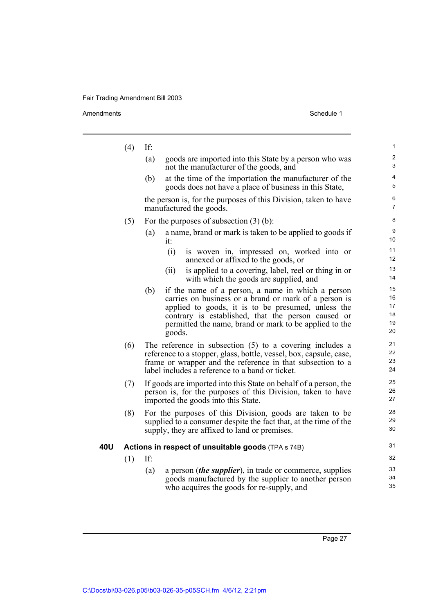Amendments Schedule 1

|     | (4) | If: |                                                                                                                                                                                                                                                                                            | $\mathbf{1}$                     |
|-----|-----|-----|--------------------------------------------------------------------------------------------------------------------------------------------------------------------------------------------------------------------------------------------------------------------------------------------|----------------------------------|
|     |     | (a) | goods are imported into this State by a person who was<br>not the manufacturer of the goods, and                                                                                                                                                                                           | $\overline{2}$<br>3              |
|     |     | (b) | at the time of the importation the manufacturer of the<br>goods does not have a place of business in this State,                                                                                                                                                                           | 4<br>5                           |
|     |     |     | the person is, for the purposes of this Division, taken to have<br>manufactured the goods.                                                                                                                                                                                                 | 6<br>$\overline{7}$              |
|     | (5) |     | For the purposes of subsection $(3)$ (b):                                                                                                                                                                                                                                                  | 8                                |
|     |     | (a) | a name, brand or mark is taken to be applied to goods if<br>it:                                                                                                                                                                                                                            | 9<br>10                          |
|     |     |     | (i)<br>is woven in, impressed on, worked into or<br>annexed or affixed to the goods, or                                                                                                                                                                                                    | 11<br>12                         |
|     |     |     | (ii)<br>is applied to a covering, label, reel or thing in or<br>with which the goods are supplied, and                                                                                                                                                                                     | 13<br>14                         |
|     |     | (b) | if the name of a person, a name in which a person<br>carries on business or a brand or mark of a person is<br>applied to goods, it is to be presumed, unless the<br>contrary is established, that the person caused or<br>permitted the name, brand or mark to be applied to the<br>goods. | 15<br>16<br>17<br>18<br>19<br>20 |
|     | (6) |     | The reference in subsection $(5)$ to a covering includes a<br>reference to a stopper, glass, bottle, vessel, box, capsule, case,<br>frame or wrapper and the reference in that subsection to a<br>label includes a reference to a band or ticket.                                          | 21<br>22<br>23<br>24             |
|     | (7) |     | If goods are imported into this State on behalf of a person, the<br>person is, for the purposes of this Division, taken to have<br>imported the goods into this State.                                                                                                                     | 25<br>26<br>27                   |
|     | (8) |     | For the purposes of this Division, goods are taken to be<br>supplied to a consumer despite the fact that, at the time of the<br>supply, they are affixed to land or premises.                                                                                                              | 28<br>29<br>30                   |
| 40U |     |     | Actions in respect of unsuitable goods (TPA s 74B)                                                                                                                                                                                                                                         | 31                               |
|     | (1) | If: |                                                                                                                                                                                                                                                                                            | 32                               |
|     |     | (a) | a person <i>(the supplier)</i> , in trade or commerce, supplies<br>goods manufactured by the supplier to another person<br>who acquires the goods for re-supply, and                                                                                                                       | 33<br>34<br>35                   |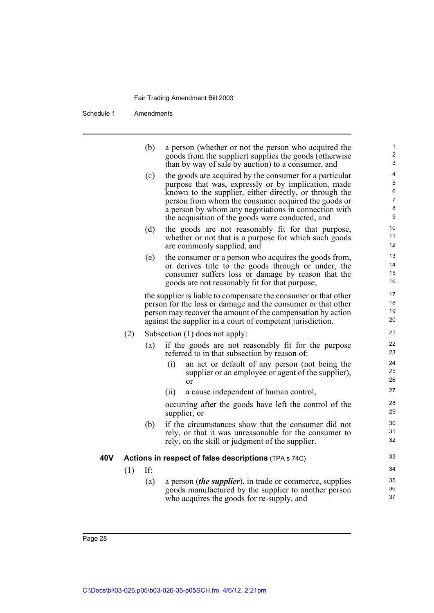Schedule 1 Amendments

|     |     | (b) | a person (whether or not the person who acquired the<br>goods from the supplier) supplies the goods (otherwise<br>than by way of sale by auction) to a consumer, and                                                                                                                                                                        | $\mathbf{1}$<br>2<br>3                  |
|-----|-----|-----|---------------------------------------------------------------------------------------------------------------------------------------------------------------------------------------------------------------------------------------------------------------------------------------------------------------------------------------------|-----------------------------------------|
|     |     | (c) | the goods are acquired by the consumer for a particular<br>purpose that was, expressly or by implication, made<br>known to the supplier, either directly, or through the<br>person from whom the consumer acquired the goods or<br>a person by whom any negotiations in connection with<br>the acquisition of the goods were conducted, and | 4<br>5<br>6<br>$\overline{7}$<br>8<br>9 |
|     |     | (d) | the goods are not reasonably fit for that purpose,<br>whether or not that is a purpose for which such goods<br>are commonly supplied, and                                                                                                                                                                                                   | 10<br>11<br>12                          |
|     |     | (e) | the consumer or a person who acquires the goods from,<br>or derives title to the goods through or under, the<br>consumer suffers loss or damage by reason that the<br>goods are not reasonably fit for that purpose,                                                                                                                        | 13<br>14<br>15<br>16                    |
|     |     |     | the supplier is liable to compensate the consumer or that other<br>person for the loss or damage and the consumer or that other<br>person may recover the amount of the compensation by action<br>against the supplier in a court of competent jurisdiction.                                                                                | 17<br>18<br>19<br>20                    |
|     | (2) |     | Subsection $(1)$ does not apply:                                                                                                                                                                                                                                                                                                            | 21                                      |
|     |     | (a) | if the goods are not reasonably fit for the purpose<br>referred to in that subsection by reason of:<br>an act or default of any person (not being the<br>(i)<br>supplier or an employee or agent of the supplier),                                                                                                                          | 22<br>23<br>24<br>25<br>26              |
|     |     |     | or<br>a cause independent of human control,<br>(ii)                                                                                                                                                                                                                                                                                         | 27                                      |
|     |     |     | occurring after the goods have left the control of the<br>supplier, or                                                                                                                                                                                                                                                                      | 28<br>29                                |
|     |     | (b) | if the circumstances show that the consumer did not<br>rely, or that it was unreasonable for the consumer to<br>rely, on the skill or judgment of the supplier.                                                                                                                                                                             | 30<br>31<br>32                          |
| 40V |     |     | Actions in respect of false descriptions (TPA s 74C)                                                                                                                                                                                                                                                                                        | 33                                      |
|     | (1) | If: |                                                                                                                                                                                                                                                                                                                                             | 34                                      |
|     |     | (a) | a person <i>(the supplier)</i> , in trade or commerce, supplies<br>goods manufactured by the supplier to another person<br>who acquires the goods for re-supply, and                                                                                                                                                                        | 35<br>36<br>37                          |
|     |     |     |                                                                                                                                                                                                                                                                                                                                             |                                         |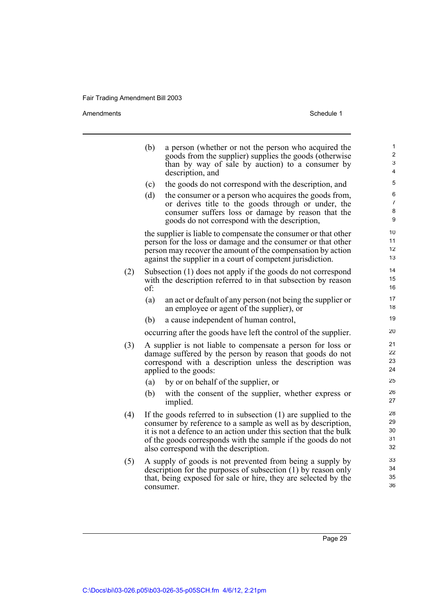Amendments Schedule 1

|     | (b) | a person (whether or not the person who acquired the<br>goods from the supplier) supplies the goods (otherwise<br>than by way of sale by auction) to a consumer by<br>description, and                                                                                                                         | 1<br>$\overline{\mathbf{c}}$<br>3<br>4 |
|-----|-----|----------------------------------------------------------------------------------------------------------------------------------------------------------------------------------------------------------------------------------------------------------------------------------------------------------------|----------------------------------------|
|     | (c) | the goods do not correspond with the description, and                                                                                                                                                                                                                                                          | 5                                      |
|     | (d) | the consumer or a person who acquires the goods from,<br>or derives title to the goods through or under, the<br>consumer suffers loss or damage by reason that the<br>goods do not correspond with the description,                                                                                            | 6<br>$\overline{7}$<br>8<br>9          |
|     |     | the supplier is liable to compensate the consumer or that other<br>person for the loss or damage and the consumer or that other<br>person may recover the amount of the compensation by action<br>against the supplier in a court of competent jurisdiction.                                                   | 10<br>11<br>12<br>13                   |
| (2) | of: | Subsection (1) does not apply if the goods do not correspond<br>with the description referred to in that subsection by reason                                                                                                                                                                                  | 14<br>15<br>16                         |
|     | (a) | an act or default of any person (not being the supplier or<br>an employee or agent of the supplier), or                                                                                                                                                                                                        | 17<br>18                               |
|     | (b) | a cause independent of human control,                                                                                                                                                                                                                                                                          | 19                                     |
|     |     | occurring after the goods have left the control of the supplier.                                                                                                                                                                                                                                               | 20                                     |
| (3) |     | A supplier is not liable to compensate a person for loss or<br>damage suffered by the person by reason that goods do not<br>correspond with a description unless the description was<br>applied to the goods:                                                                                                  | 21<br>22<br>23<br>24                   |
|     | (a) | by or on behalf of the supplier, or                                                                                                                                                                                                                                                                            | 25                                     |
|     | (b) | with the consent of the supplier, whether express or<br>implied.                                                                                                                                                                                                                                               | 26<br>27                               |
| (4) |     | If the goods referred to in subsection $(1)$ are supplied to the<br>consumer by reference to a sample as well as by description,<br>it is not a defence to an action under this section that the bulk<br>of the goods corresponds with the sample if the goods do not<br>also correspond with the description. | 28<br>29<br>30<br>31<br>32             |
| (5) |     | A supply of goods is not prevented from being a supply by<br>description for the purposes of subsection (1) by reason only<br>that, being exposed for sale or hire, they are selected by the<br>consumer.                                                                                                      | 33<br>34<br>35<br>36                   |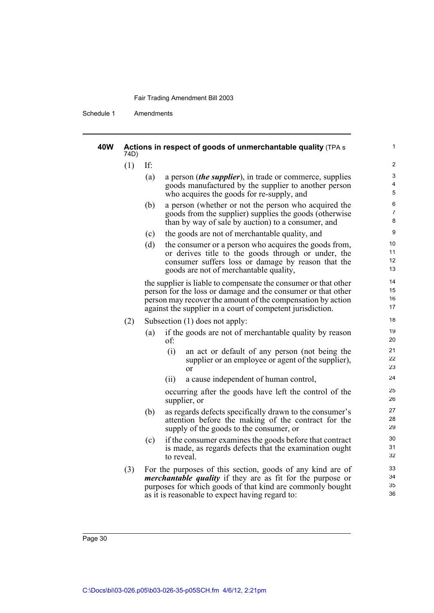Schedule 1 Amendments

| 40W | 74D) | 1<br>Actions in respect of goods of unmerchantable quality (TPA s |            |                                                                                                                                                                                                                                                              |                      |  |  |  |
|-----|------|-------------------------------------------------------------------|------------|--------------------------------------------------------------------------------------------------------------------------------------------------------------------------------------------------------------------------------------------------------------|----------------------|--|--|--|
|     | (1)  | If:                                                               |            |                                                                                                                                                                                                                                                              | 2                    |  |  |  |
|     |      | (a)                                                               |            | a person <i>(the supplier)</i> , in trade or commerce, supplies<br>goods manufactured by the supplier to another person<br>who acquires the goods for re-supply, and                                                                                         | 3<br>4<br>5          |  |  |  |
|     |      | (b)                                                               |            | a person (whether or not the person who acquired the<br>goods from the supplier) supplies the goods (otherwise<br>than by way of sale by auction) to a consumer, and                                                                                         | 6<br>7<br>8          |  |  |  |
|     |      | (c)                                                               |            | the goods are not of merchantable quality, and                                                                                                                                                                                                               | 9                    |  |  |  |
|     |      | (d)                                                               |            | the consumer or a person who acquires the goods from,<br>or derives title to the goods through or under, the<br>consumer suffers loss or damage by reason that the<br>goods are not of merchantable quality,                                                 | 10<br>11<br>12<br>13 |  |  |  |
|     |      |                                                                   |            | the supplier is liable to compensate the consumer or that other<br>person for the loss or damage and the consumer or that other<br>person may recover the amount of the compensation by action<br>against the supplier in a court of competent jurisdiction. | 14<br>15<br>16<br>17 |  |  |  |
|     | (2)  | Subsection $(1)$ does not apply:                                  |            |                                                                                                                                                                                                                                                              |                      |  |  |  |
|     |      | (a)                                                               | of:        | if the goods are not of merchantable quality by reason                                                                                                                                                                                                       | 19<br>20             |  |  |  |
|     |      |                                                                   | (i)        | an act or default of any person (not being the<br>supplier or an employee or agent of the supplier).<br>or                                                                                                                                                   | 21<br>22<br>23       |  |  |  |
|     |      |                                                                   | (ii)       | a cause independent of human control,                                                                                                                                                                                                                        | 24                   |  |  |  |
|     |      |                                                                   |            | occurring after the goods have left the control of the<br>supplier, or                                                                                                                                                                                       | 25<br>26             |  |  |  |
|     |      | (b)                                                               |            | as regards defects specifically drawn to the consumer's<br>attention before the making of the contract for the<br>supply of the goods to the consumer, or                                                                                                    | 27<br>28<br>29       |  |  |  |
|     |      | (c)                                                               | to reveal. | if the consumer examines the goods before that contract<br>is made, as regards defects that the examination ought                                                                                                                                            | 30<br>31<br>32       |  |  |  |
|     | (3)  |                                                                   |            | For the purposes of this section, goods of any kind are of<br><i>merchantable quality</i> if they are as fit for the purpose or<br>purposes for which goods of that kind are commonly bought<br>as it is reasonable to expect having regard to:              | 33<br>34<br>35<br>36 |  |  |  |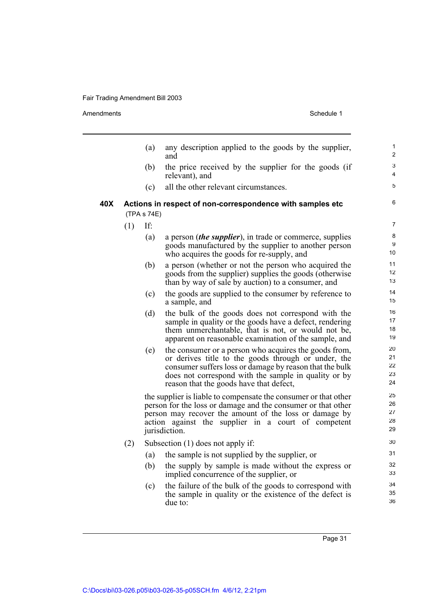Amendments Schedule 1

|     |     | (a)         | any description applied to the goods by the supplier,<br>and                                                                                                                                                                                                               | 1<br>$\overline{2}$        |
|-----|-----|-------------|----------------------------------------------------------------------------------------------------------------------------------------------------------------------------------------------------------------------------------------------------------------------------|----------------------------|
|     |     | (b)         | the price received by the supplier for the goods (if<br>relevant), and                                                                                                                                                                                                     | 3<br>4                     |
|     |     | (c)         | all the other relevant circumstances.                                                                                                                                                                                                                                      | 5                          |
| 40X |     | (TPA s 74E) | Actions in respect of non-correspondence with samples etc                                                                                                                                                                                                                  | 6                          |
|     | (1) | If:         |                                                                                                                                                                                                                                                                            | 7                          |
|     |     | (a)         | a person <i>(the supplier)</i> , in trade or commerce, supplies<br>goods manufactured by the supplier to another person<br>who acquires the goods for re-supply, and                                                                                                       | 8<br>9<br>10               |
|     |     | (b)         | a person (whether or not the person who acquired the<br>goods from the supplier) supplies the goods (otherwise<br>than by way of sale by auction) to a consumer, and                                                                                                       | 11<br>12<br>13             |
|     |     | (c)         | the goods are supplied to the consumer by reference to<br>a sample, and                                                                                                                                                                                                    | 14<br>15                   |
|     |     | (d)         | the bulk of the goods does not correspond with the<br>sample in quality or the goods have a defect, rendering<br>them unmerchantable, that is not, or would not be,<br>apparent on reasonable examination of the sample, and                                               | 16<br>17<br>18<br>19       |
|     |     | (e)         | the consumer or a person who acquires the goods from,<br>or derives title to the goods through or under, the<br>consumer suffers loss or damage by reason that the bulk<br>does not correspond with the sample in quality or by<br>reason that the goods have that defect, | 20<br>21<br>22<br>23<br>24 |
|     |     |             | the supplier is liable to compensate the consumer or that other<br>person for the loss or damage and the consumer or that other<br>person may recover the amount of the loss or damage by<br>action against the supplier in a court of competent<br>jurisdiction.          | 25<br>26<br>27<br>28<br>29 |
|     | (2) |             | Subsection $(1)$ does not apply if:                                                                                                                                                                                                                                        | 30                         |
|     |     | (a)         | the sample is not supplied by the supplier, or                                                                                                                                                                                                                             | 31                         |
|     |     | (b)         | the supply by sample is made without the express or<br>implied concurrence of the supplier, or                                                                                                                                                                             | 32<br>33                   |
|     |     | (c)         | the failure of the bulk of the goods to correspond with<br>the sample in quality or the existence of the defect is<br>due to:                                                                                                                                              | 34<br>35<br>36             |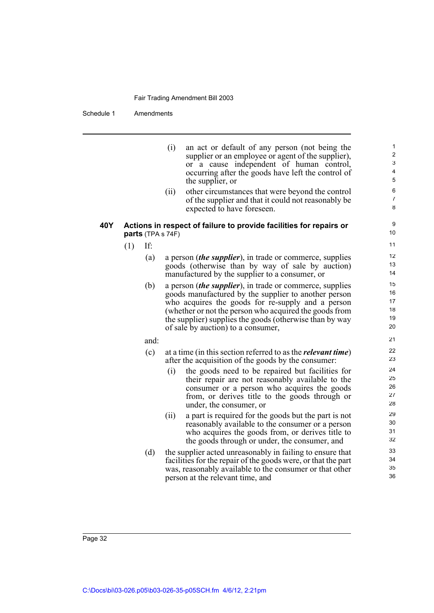Schedule 1 Amendments

|     |     |      | (i)<br>an act or default of any person (not being the<br>supplier or an employee or agent of the supplier),<br>or a cause independent of human control,<br>occurring after the goods have left the control of<br>the supplier, or<br>other circumstances that were beyond the control<br>(ii)<br>of the supplier and that it could not reasonably be<br>expected to have foreseen. | $\mathbf{1}$<br>2<br>3<br>4<br>5<br>$\,6$<br>7<br>8 |
|-----|-----|------|------------------------------------------------------------------------------------------------------------------------------------------------------------------------------------------------------------------------------------------------------------------------------------------------------------------------------------------------------------------------------------|-----------------------------------------------------|
| 40Y |     |      | Actions in respect of failure to provide facilities for repairs or<br>parts (TPA s 74F)                                                                                                                                                                                                                                                                                            | 9<br>10                                             |
|     | (1) | If:  |                                                                                                                                                                                                                                                                                                                                                                                    | 11                                                  |
|     |     | (a)  | a person <i>(the supplier)</i> , in trade or commerce, supplies<br>goods (otherwise than by way of sale by auction)<br>manufactured by the supplier to a consumer, or                                                                                                                                                                                                              | 12<br>13<br>14                                      |
|     |     | (b)  | a person <i>(the supplier)</i> , in trade or commerce, supplies<br>goods manufactured by the supplier to another person<br>who acquires the goods for re-supply and a person<br>(whether or not the person who acquired the goods from<br>the supplier) supplies the goods (otherwise than by way<br>of sale by auction) to a consumer,                                            | 15<br>16<br>17<br>18<br>19<br>20                    |
|     |     | and: |                                                                                                                                                                                                                                                                                                                                                                                    | 21                                                  |
|     |     | (c)  | at a time (in this section referred to as the <i>relevant time</i> )<br>after the acquisition of the goods by the consumer:                                                                                                                                                                                                                                                        | 22<br>23                                            |
|     |     |      | (i)<br>the goods need to be repaired but facilities for<br>their repair are not reasonably available to the<br>consumer or a person who acquires the goods<br>from, or derives title to the goods through or<br>under, the consumer, or                                                                                                                                            | 24<br>25<br>26<br>27<br>28                          |
|     |     |      | (ii)<br>a part is required for the goods but the part is not<br>reasonably available to the consumer or a person<br>who acquires the goods from, or derives title to<br>the goods through or under, the consumer, and                                                                                                                                                              | 29<br>30<br>31<br>32                                |
|     |     | (d)  | the supplier acted unreasonably in failing to ensure that<br>facilities for the repair of the goods were, or that the part<br>was, reasonably available to the consumer or that other<br>person at the relevant time, and                                                                                                                                                          | 33<br>34<br>35<br>36                                |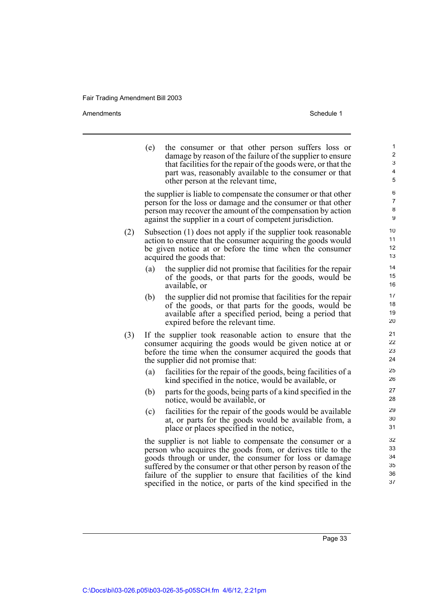Amendments **Schedule 1** Schedule 1

(e) the consumer or that other person suffers loss or damage by reason of the failure of the supplier to ensure that facilities for the repair of the goods were, or that the part was, reasonably available to the consumer or that other person at the relevant time, the supplier is liable to compensate the consumer or that other person for the loss or damage and the consumer or that other person may recover the amount of the compensation by action against the supplier in a court of competent jurisdiction. (2) Subsection (1) does not apply if the supplier took reasonable action to ensure that the consumer acquiring the goods would be given notice at or before the time when the consumer acquired the goods that: (a) the supplier did not promise that facilities for the repair of the goods, or that parts for the goods, would be available, or (b) the supplier did not promise that facilities for the repair of the goods, or that parts for the goods, would be available after a specified period, being a period that expired before the relevant time. (3) If the supplier took reasonable action to ensure that the consumer acquiring the goods would be given notice at or before the time when the consumer acquired the goods that the supplier did not promise that: (a) facilities for the repair of the goods, being facilities of a kind specified in the notice, would be available, or (b) parts for the goods, being parts of a kind specified in the notice, would be available, or (c) facilities for the repair of the goods would be available at, or parts for the goods would be available from, a place or places specified in the notice, the supplier is not liable to compensate the consumer or a person who acquires the goods from, or derives title to the goods through or under, the consumer for loss or damage suffered by the consumer or that other person by reason of the failure of the supplier to ensure that facilities of the kind specified in the notice, or parts of the kind specified in the 1  $\overline{2}$ 3 4 5 6 7 8 9 10 11 12 13 14 15 16 17 18 19 20 21 22 23 24 25 26 27 28  $29$ 30 31 32 33 34 35 36 37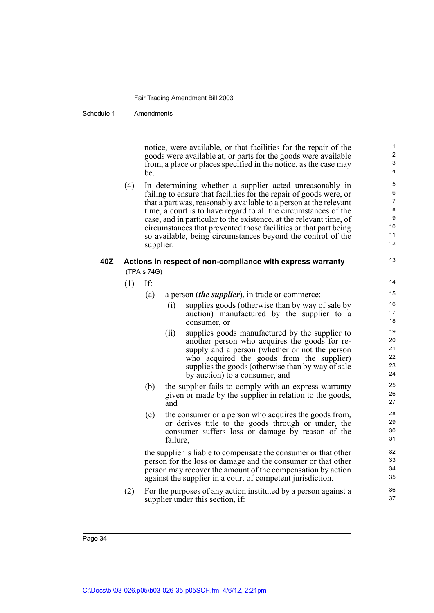Schedule 1 Amendments

notice, were available, or that facilities for the repair of the goods were available at, or parts for the goods were available from, a place or places specified in the notice, as the case may be.

13

(4) In determining whether a supplier acted unreasonably in failing to ensure that facilities for the repair of goods were, or that a part was, reasonably available to a person at the relevant time, a court is to have regard to all the circumstances of the case, and in particular to the existence, at the relevant time, of circumstances that prevented those facilities or that part being so available, being circumstances beyond the control of the supplier.

## **40Z Actions in respect of non-compliance with express warranty** (TPA s 74G)

(1) If:

- (a) a person (*the supplier*), in trade or commerce:
	- (i) supplies goods (otherwise than by way of sale by auction) manufactured by the supplier to a consumer, or
	- (ii) supplies goods manufactured by the supplier to another person who acquires the goods for resupply and a person (whether or not the person who acquired the goods from the supplier) supplies the goods (otherwise than by way of sale by auction) to a consumer, and
- (b) the supplier fails to comply with an express warranty given or made by the supplier in relation to the goods, and
- (c) the consumer or a person who acquires the goods from, or derives title to the goods through or under, the consumer suffers loss or damage by reason of the failure,

the supplier is liable to compensate the consumer or that other person for the loss or damage and the consumer or that other person may recover the amount of the compensation by action against the supplier in a court of competent jurisdiction.

(2) For the purposes of any action instituted by a person against a supplier under this section, if: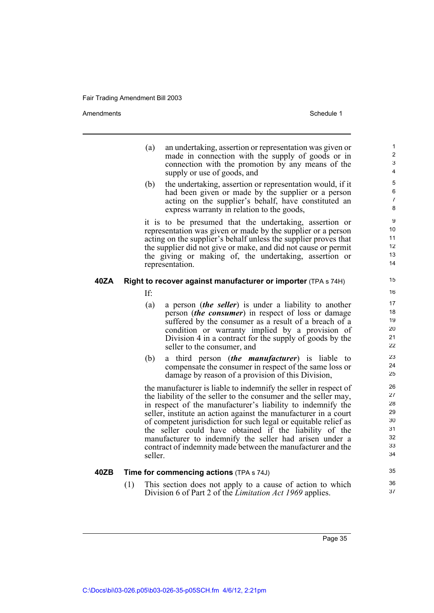Amendments **Schedule 1** Schedule 1

35 36 37

- (a) an undertaking, assertion or representation was given or made in connection with the supply of goods or in connection with the promotion by any means of the supply or use of goods, and
- (b) the undertaking, assertion or representation would, if it had been given or made by the supplier or a person acting on the supplier's behalf, have constituted an express warranty in relation to the goods,

it is to be presumed that the undertaking, assertion or representation was given or made by the supplier or a person acting on the supplier's behalf unless the supplier proves that the supplier did not give or make, and did not cause or permit the giving or making of, the undertaking, assertion or representation.

#### **40ZA Right to recover against manufacturer or importer** (TPA s 74H)

If:

- (a) a person (*the seller*) is under a liability to another person (*the consumer*) in respect of loss or damage suffered by the consumer as a result of a breach of a condition or warranty implied by a provision of Division 4 in a contract for the supply of goods by the seller to the consumer, and
- (b) a third person (*the manufacturer*) is liable to compensate the consumer in respect of the same loss or damage by reason of a provision of this Division,

the manufacturer is liable to indemnify the seller in respect of the liability of the seller to the consumer and the seller may, in respect of the manufacturer's liability to indemnify the seller, institute an action against the manufacturer in a court of competent jurisdiction for such legal or equitable relief as the seller could have obtained if the liability of the manufacturer to indemnify the seller had arisen under a contract of indemnity made between the manufacturer and the seller.

#### **40ZB Time for commencing actions** (TPA s 74J)

(1) This section does not apply to a cause of action to which Division 6 of Part 2 of the *Limitation Act 1969* applies.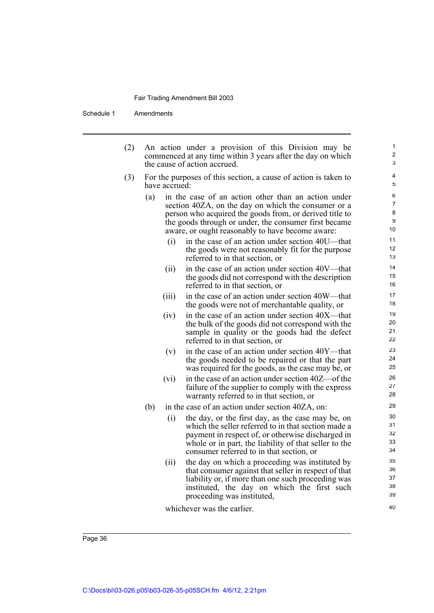Schedule 1 Amendments

| (2) | An action under a provision of this Division may be<br>commenced at any time within 3 years after the day on which<br>the cause of action accrued.                                                                                                                                        | 1<br>$\overline{2}$<br>3            |
|-----|-------------------------------------------------------------------------------------------------------------------------------------------------------------------------------------------------------------------------------------------------------------------------------------------|-------------------------------------|
| (3) | For the purposes of this section, a cause of action is taken to<br>have accrued:                                                                                                                                                                                                          | 4<br>5                              |
|     | in the case of an action other than an action under<br>(a)<br>section 40ZA, on the day on which the consumer or a<br>person who acquired the goods from, or derived title to<br>the goods through or under, the consumer first became<br>aware, or ought reasonably to have become aware: | 6<br>$\overline{7}$<br>8<br>9<br>10 |
|     | in the case of an action under section 40U—that<br>(i)<br>the goods were not reasonably fit for the purpose<br>referred to in that section, or                                                                                                                                            | 11<br>12<br>13                      |
|     | in the case of an action under section 40V—that<br>(ii)<br>the goods did not correspond with the description<br>referred to in that section, or                                                                                                                                           | 14<br>15<br>16                      |
|     | in the case of an action under section 40W—that<br>(iii)<br>the goods were not of merchantable quality, or                                                                                                                                                                                | 17<br>18                            |
|     | in the case of an action under section 40X—that<br>(iv)<br>the bulk of the goods did not correspond with the<br>sample in quality or the goods had the defect<br>referred to in that section, or                                                                                          | 19<br>20<br>21<br>22                |
|     | in the case of an action under section 40Y—that<br>(v)<br>the goods needed to be repaired or that the part<br>was required for the goods, as the case may be, or                                                                                                                          | 23<br>24<br>25                      |
|     | in the case of an action under section 40Z—of the<br>(vi)<br>failure of the supplier to comply with the express<br>warranty referred to in that section, or                                                                                                                               | 26<br>27<br>28                      |
|     | (b)<br>in the case of an action under section 40ZA, on:                                                                                                                                                                                                                                   | 29                                  |
|     | the day, or the first day, as the case may be, on<br>(i)<br>which the seller referred to in that section made a<br>payment in respect of, or otherwise discharged in<br>whole or in part, the liability of that seller to the<br>consumer referred to in that section, or                 | 30<br>31<br>32<br>33<br>34          |
|     | (ii)<br>the day on which a proceeding was instituted by<br>that consumer against that seller in respect of that<br>liability or, if more than one such proceeding was<br>instituted, the day on which the first such<br>proceeding was instituted,                                        | 35<br>36<br>37<br>38<br>39          |
|     | whichever was the earlier.                                                                                                                                                                                                                                                                | 40                                  |
|     |                                                                                                                                                                                                                                                                                           |                                     |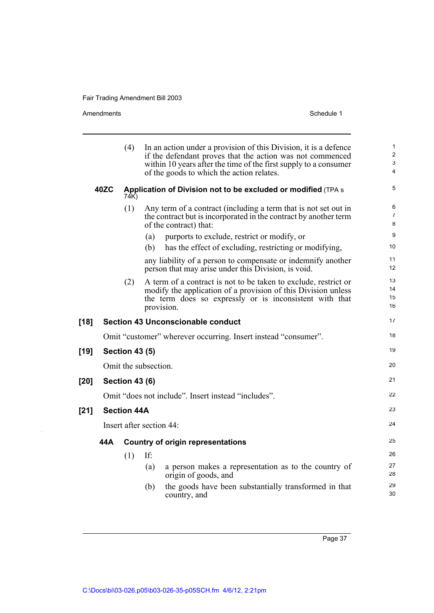Amendments Schedule 1

 $\ddot{\phantom{a}}$ 

|        |      | (4)                   |                          | In an action under a provision of this Division, it is a defence<br>if the defendant proves that the action was not commenced<br>within 10 years after the time of the first supply to a consumer<br>of the goods to which the action relates. | 1<br>$\overline{2}$<br>$\mathsf 3$<br>4 |
|--------|------|-----------------------|--------------------------|------------------------------------------------------------------------------------------------------------------------------------------------------------------------------------------------------------------------------------------------|-----------------------------------------|
|        | 40ZC | 74K)                  |                          | Application of Division not to be excluded or modified (TPA s                                                                                                                                                                                  | 5                                       |
|        |      | (1)                   |                          | Any term of a contract (including a term that is not set out in<br>the contract but is incorporated in the contract by another term<br>of the contract) that:                                                                                  | 6<br>$\overline{7}$<br>8                |
|        |      |                       | (a)                      | purports to exclude, restrict or modify, or                                                                                                                                                                                                    | 9                                       |
|        |      |                       | (b)                      | has the effect of excluding, restricting or modifying,                                                                                                                                                                                         | 10                                      |
|        |      |                       |                          | any liability of a person to compensate or indemnify another<br>person that may arise under this Division, is void.                                                                                                                            | 11<br>12                                |
|        |      | (2)                   | provision.               | A term of a contract is not to be taken to exclude, restrict or<br>modify the application of a provision of this Division unless<br>the term does so expressly or is inconsistent with that                                                    | 13<br>14<br>15<br>16                    |
| $[18]$ |      |                       |                          | <b>Section 43 Unconscionable conduct</b>                                                                                                                                                                                                       | 17                                      |
|        |      |                       |                          | Omit "customer" wherever occurring. Insert instead "consumer".                                                                                                                                                                                 | 18                                      |
| $[19]$ |      | <b>Section 43 (5)</b> |                          |                                                                                                                                                                                                                                                | 19                                      |
|        |      |                       | Omit the subsection.     |                                                                                                                                                                                                                                                | 20                                      |
| $[20]$ |      | <b>Section 43 (6)</b> |                          |                                                                                                                                                                                                                                                | 21                                      |
|        |      |                       |                          | Omit "does not include". Insert instead "includes".                                                                                                                                                                                            | 22                                      |
| $[21]$ |      | <b>Section 44A</b>    |                          |                                                                                                                                                                                                                                                | 23                                      |
|        |      |                       | Insert after section 44: |                                                                                                                                                                                                                                                | 24                                      |
|        | 44 A |                       |                          | <b>Country of origin representations</b>                                                                                                                                                                                                       | 25                                      |
|        |      | (1)                   | If:                      |                                                                                                                                                                                                                                                | 26                                      |
|        |      |                       | (a)                      | a person makes a representation as to the country of<br>origin of goods, and                                                                                                                                                                   | 27<br>28                                |
|        |      |                       | (b)                      | the goods have been substantially transformed in that<br>country, and                                                                                                                                                                          | 29<br>30                                |
|        |      |                       |                          |                                                                                                                                                                                                                                                |                                         |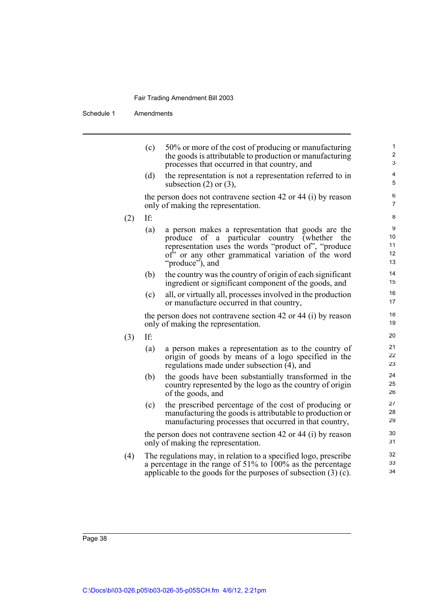Schedule 1 Amendments

|     | (c) | 50% or more of the cost of producing or manufacturing<br>the goods is attributable to production or manufacturing<br>processes that occurred in that country, and                                                                                   | 1<br>2<br>3               |
|-----|-----|-----------------------------------------------------------------------------------------------------------------------------------------------------------------------------------------------------------------------------------------------------|---------------------------|
|     | (d) | the representation is not a representation referred to in<br>subsection $(2)$ or $(3)$ ,                                                                                                                                                            | 4<br>5                    |
|     |     | the person does not contravene section 42 or 44 (i) by reason<br>only of making the representation.                                                                                                                                                 | 6<br>$\overline{7}$       |
| (2) | If: |                                                                                                                                                                                                                                                     | 8                         |
|     | (a) | a person makes a representation that goods are the<br>produce<br>a particular<br>οf<br>country<br>(whether)<br>the<br>representation uses the words "product of", "produce<br>of" or any other grammatical variation of the word<br>"produce"), and | 9<br>10<br>11<br>12<br>13 |
|     | (b) | the country was the country of origin of each significant<br>ingredient or significant component of the goods, and                                                                                                                                  | 14<br>15                  |
|     | (c) | all, or virtually all, processes involved in the production<br>or manufacture occurred in that country,                                                                                                                                             | 16<br>17                  |
|     |     | the person does not contravene section 42 or 44 (i) by reason<br>only of making the representation.                                                                                                                                                 | 18<br>19                  |
| (3) | If: |                                                                                                                                                                                                                                                     | 20                        |
|     | (a) | a person makes a representation as to the country of<br>origin of goods by means of a logo specified in the<br>regulations made under subsection (4), and                                                                                           | 21<br>22<br>23            |
|     | (b) | the goods have been substantially transformed in the<br>country represented by the logo as the country of origin<br>of the goods, and                                                                                                               | 24<br>25<br>26            |
|     | (c) | the prescribed percentage of the cost of producing or<br>manufacturing the goods is attributable to production or<br>manufacturing processes that occurred in that country,                                                                         | 27<br>28<br>29            |
|     |     | the person does not contravene section 42 or 44 (i) by reason<br>only of making the representation.                                                                                                                                                 | 30<br>31                  |
| (4) |     | The regulations may, in relation to a specified logo, prescribe<br>a percentage in the range of $51\%$ to $100\%$ as the percentage<br>applicable to the goods for the purposes of subsection $(3)$ (c).                                            | 32<br>33<br>34            |
|     |     |                                                                                                                                                                                                                                                     |                           |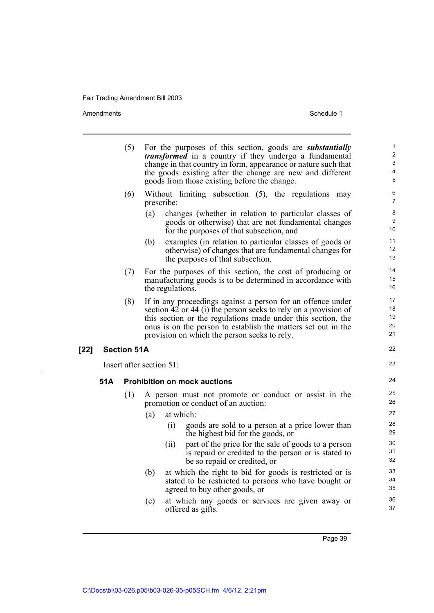Amendments Schedule 1

 $\ddot{\phantom{a}}$ 

|        |     | (5)                | For the purposes of this section, goods are <i>substantially</i><br><i>transformed</i> in a country if they undergo a fundamental<br>change in that country in form, appearance or nature such that<br>the goods existing after the change are new and different<br>goods from those existing before the change. | 1<br>$\overline{2}$<br>3<br>$\overline{\mathbf{4}}$<br>5 |
|--------|-----|--------------------|------------------------------------------------------------------------------------------------------------------------------------------------------------------------------------------------------------------------------------------------------------------------------------------------------------------|----------------------------------------------------------|
|        |     | (6)                | Without limiting subsection (5), the regulations<br>may<br>prescribe:                                                                                                                                                                                                                                            | 6<br>$\overline{7}$                                      |
|        |     |                    | changes (whether in relation to particular classes of<br>(a)<br>goods or otherwise) that are not fundamental changes<br>for the purposes of that subsection, and                                                                                                                                                 | 8<br>9<br>10                                             |
|        |     |                    | (b)<br>examples (in relation to particular classes of goods or<br>otherwise) of changes that are fundamental changes for<br>the purposes of that subsection.                                                                                                                                                     | 11<br>12<br>13                                           |
|        |     | (7)                | For the purposes of this section, the cost of producing or<br>manufacturing goods is to be determined in accordance with<br>the regulations.                                                                                                                                                                     | 14<br>15<br>16                                           |
|        |     | (8)                | If in any proceedings against a person for an offence under<br>section 42 or 44 (i) the person seeks to rely on a provision of<br>this section or the regulations made under this section, the<br>onus is on the person to establish the matters set out in the<br>provision on which the person seeks to rely.  | 17<br>18<br>19<br>20<br>21                               |
| $[22]$ |     | <b>Section 51A</b> |                                                                                                                                                                                                                                                                                                                  | 22                                                       |
|        |     |                    | Insert after section 51:                                                                                                                                                                                                                                                                                         | 23                                                       |
|        | 51A |                    | <b>Prohibition on mock auctions</b>                                                                                                                                                                                                                                                                              | 24                                                       |
|        |     | (1)                | A person must not promote or conduct or assist in the<br>promotion or conduct of an auction:                                                                                                                                                                                                                     | 25<br>26                                                 |
|        |     |                    | at which:<br>(a)<br>(i)<br>goods are sold to a person at a price lower than<br>the highest bid for the goods, or                                                                                                                                                                                                 | 27<br>28<br>29                                           |
|        |     |                    | part of the price for the sale of goods to a person<br>(ii)<br>is repaid or credited to the person or is stated to<br>be so repaid or credited, or                                                                                                                                                               | 30<br>31<br>32                                           |
|        |     |                    | (b)<br>at which the right to bid for goods is restricted or is                                                                                                                                                                                                                                                   | 33                                                       |
|        |     |                    | stated to be restricted to persons who have bought or<br>agreed to buy other goods, or                                                                                                                                                                                                                           | 34<br>35                                                 |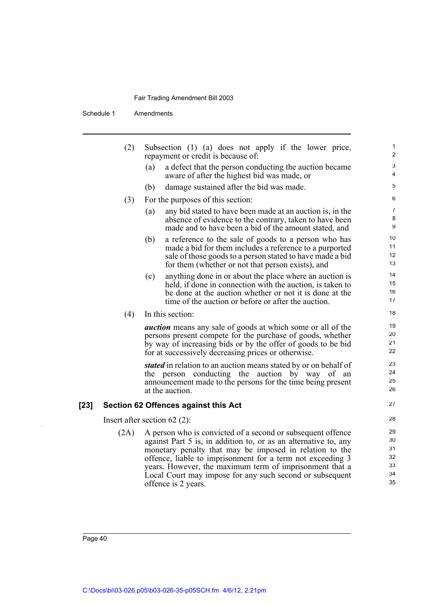Schedule 1 Amendments

| (2)  | Subsection (1) (a) does not apply if the lower price,<br>repayment or credit is because of:                                                                                                                                                                                                                                                                                                           | 1<br>$\overline{2}$                    |  |  |  |  |
|------|-------------------------------------------------------------------------------------------------------------------------------------------------------------------------------------------------------------------------------------------------------------------------------------------------------------------------------------------------------------------------------------------------------|----------------------------------------|--|--|--|--|
|      | (a)<br>a defect that the person conducting the auction became<br>aware of after the highest bid was made, or                                                                                                                                                                                                                                                                                          | 3<br>4                                 |  |  |  |  |
|      | damage sustained after the bid was made.<br>(b)                                                                                                                                                                                                                                                                                                                                                       | 5                                      |  |  |  |  |
| (3)  | For the purposes of this section:                                                                                                                                                                                                                                                                                                                                                                     | 6                                      |  |  |  |  |
|      | (a)<br>any bid stated to have been made at an auction is, in the<br>absence of evidence to the contrary, taken to have been<br>made and to have been a bid of the amount stated, and                                                                                                                                                                                                                  | 7<br>8<br>9                            |  |  |  |  |
|      | a reference to the sale of goods to a person who has<br>(b)<br>made a bid for them includes a reference to a purported<br>sale of those goods to a person stated to have made a bid<br>for them (whether or not that person exists), and                                                                                                                                                              | 10<br>11<br>12<br>13                   |  |  |  |  |
|      | (c)<br>anything done in or about the place where an auction is<br>held, if done in connection with the auction, is taken to<br>be done at the auction whether or not it is done at the<br>time of the auction or before or after the auction.                                                                                                                                                         | 14<br>15<br>16<br>17                   |  |  |  |  |
| (4)  | In this section:                                                                                                                                                                                                                                                                                                                                                                                      | 18                                     |  |  |  |  |
|      | <i>auction</i> means any sale of goods at which some or all of the<br>persons present compete for the purchase of goods, whether<br>by way of increasing bids or by the offer of goods to be bid<br>for at successively decreasing prices or otherwise.                                                                                                                                               |                                        |  |  |  |  |
|      | stated in relation to an auction means stated by or on behalf of<br>the person conducting the auction by way of an<br>announcement made to the persons for the time being present<br>at the auction.                                                                                                                                                                                                  | 23<br>24<br>25<br>26                   |  |  |  |  |
|      | Section 62 Offences against this Act                                                                                                                                                                                                                                                                                                                                                                  | 27                                     |  |  |  |  |
|      | Insert after section $62$ (2):                                                                                                                                                                                                                                                                                                                                                                        | 28                                     |  |  |  |  |
| (2A) | A person who is convicted of a second or subsequent offence<br>against Part 5 is, in addition to, or as an alternative to, any<br>monetary penalty that may be imposed in relation to the<br>offence, liable to imprisonment for a term not exceeding 3<br>years. However, the maximum term of imprisonment that a<br>Local Court may impose for any such second or subsequent<br>offence is 2 years. | 29<br>30<br>31<br>32<br>33<br>34<br>35 |  |  |  |  |

 $[23]$ 

 $\ddot{\phantom{a}}$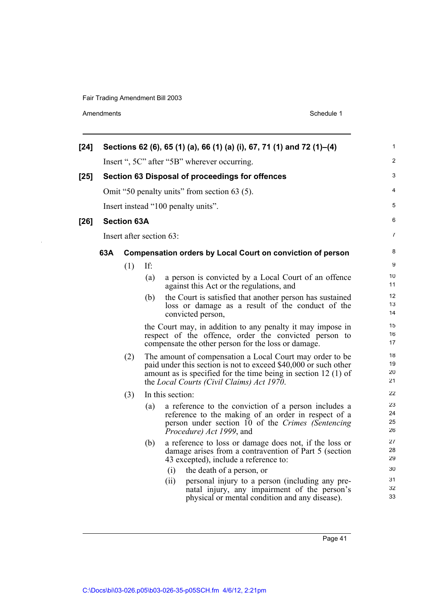Amendments Schedule 1

 $\ddot{\phantom{a}}$ 

| $[24]$ |     |                    |     | Sections 62 (6), 65 (1) (a), 66 (1) (a) (i), 67, 71 (1) and 72 (1)–(4)                                                                                                                                                                      | 1                    |
|--------|-----|--------------------|-----|---------------------------------------------------------------------------------------------------------------------------------------------------------------------------------------------------------------------------------------------|----------------------|
|        |     |                    |     | Insert ", 5C" after "5B" wherever occurring.                                                                                                                                                                                                | $\overline{c}$       |
| $[25]$ |     |                    |     | Section 63 Disposal of proceedings for offences                                                                                                                                                                                             | 3                    |
|        |     |                    |     | Omit "50 penalty units" from section 63 (5).                                                                                                                                                                                                | 4                    |
|        |     |                    |     | Insert instead "100 penalty units".                                                                                                                                                                                                         | 5                    |
| [26]   |     | <b>Section 63A</b> |     |                                                                                                                                                                                                                                             | 6                    |
|        |     |                    |     | Insert after section 63:                                                                                                                                                                                                                    | $\overline{7}$       |
|        | 63A |                    |     | <b>Compensation orders by Local Court on conviction of person</b>                                                                                                                                                                           | 8                    |
|        |     | (1)                | If: |                                                                                                                                                                                                                                             | 9                    |
|        |     |                    | (a) | a person is convicted by a Local Court of an offence<br>against this Act or the regulations, and                                                                                                                                            | 10<br>11             |
|        |     |                    | (b) | the Court is satisfied that another person has sustained<br>loss or damage as a result of the conduct of the<br>convicted person,                                                                                                           | 12<br>13<br>14       |
|        |     |                    |     | the Court may, in addition to any penalty it may impose in<br>respect of the offence, order the convicted person to<br>compensate the other person for the loss or damage.                                                                  | 15<br>16<br>17       |
|        |     | (2)                |     | The amount of compensation a Local Court may order to be<br>paid under this section is not to exceed \$40,000 or such other<br>amount as is specified for the time being in section $12(1)$ of<br>the Local Courts (Civil Claims) Act 1970. | 18<br>19<br>20<br>21 |
|        |     | (3)                |     | In this section:                                                                                                                                                                                                                            | 22                   |
|        |     |                    | (a) | a reference to the conviction of a person includes a<br>reference to the making of an order in respect of a<br>person under section 10 of the Crimes (Sentencing<br>Procedure) Act 1999, and                                                | 23<br>24<br>25<br>26 |
|        |     |                    | (b) | a reference to loss or damage does not, if the loss or<br>damage arises from a contravention of Part 5 (section<br>43 excepted), include a reference to:                                                                                    | 27<br>28<br>29       |
|        |     |                    |     | the death of a person, or<br>(i)<br>(ii)<br>personal injury to a person (including any pre-<br>natal injury, any impairment of the person's<br>physical or mental condition and any disease).                                               | 30<br>31<br>32<br>33 |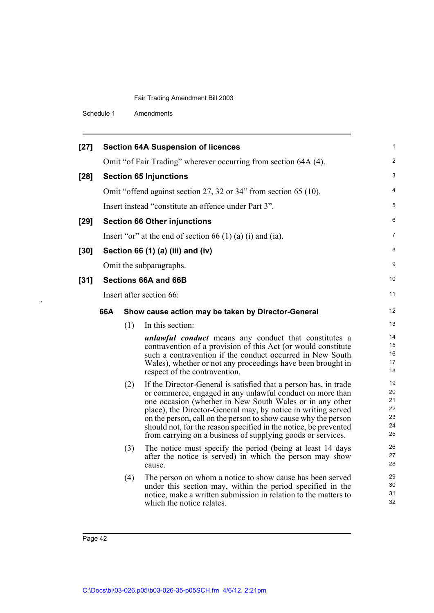Schedule 1 Amendments

| $[27]$ | <b>Section 64A Suspension of licences</b> |     |                                                                                                                                                                                                                                                                                                                                                                                                                                                                 |                                        |  |  |
|--------|-------------------------------------------|-----|-----------------------------------------------------------------------------------------------------------------------------------------------------------------------------------------------------------------------------------------------------------------------------------------------------------------------------------------------------------------------------------------------------------------------------------------------------------------|----------------------------------------|--|--|
|        |                                           |     | Omit "of Fair Trading" wherever occurring from section 64A (4).                                                                                                                                                                                                                                                                                                                                                                                                 | 2                                      |  |  |
| $[28]$ |                                           |     | <b>Section 65 Injunctions</b>                                                                                                                                                                                                                                                                                                                                                                                                                                   | 3                                      |  |  |
|        |                                           |     | Omit "offend against section 27, 32 or 34" from section 65 (10).                                                                                                                                                                                                                                                                                                                                                                                                | 4                                      |  |  |
|        |                                           |     | Insert instead "constitute an offence under Part 3".                                                                                                                                                                                                                                                                                                                                                                                                            | 5                                      |  |  |
| $[29]$ |                                           |     | <b>Section 66 Other injunctions</b>                                                                                                                                                                                                                                                                                                                                                                                                                             | 6                                      |  |  |
|        |                                           |     | Insert "or" at the end of section 66 $(1)$ (a) $(i)$ and $(ii)$ .                                                                                                                                                                                                                                                                                                                                                                                               | 7                                      |  |  |
| $[30]$ |                                           |     | Section 66 (1) (a) (iii) and (iv)                                                                                                                                                                                                                                                                                                                                                                                                                               | 8                                      |  |  |
|        |                                           |     | Omit the subparagraphs.                                                                                                                                                                                                                                                                                                                                                                                                                                         | 9                                      |  |  |
| $[31]$ |                                           |     | Sections 66A and 66B                                                                                                                                                                                                                                                                                                                                                                                                                                            | 10                                     |  |  |
|        |                                           |     | Insert after section 66:                                                                                                                                                                                                                                                                                                                                                                                                                                        | 11                                     |  |  |
|        | 66A                                       |     | Show cause action may be taken by Director-General                                                                                                                                                                                                                                                                                                                                                                                                              | 12                                     |  |  |
|        |                                           | (1) | In this section:                                                                                                                                                                                                                                                                                                                                                                                                                                                | 13                                     |  |  |
|        |                                           |     | unlawful conduct means any conduct that constitutes a<br>contravention of a provision of this Act (or would constitute<br>such a contravention if the conduct occurred in New South<br>Wales), whether or not any proceedings have been brought in<br>respect of the contravention.                                                                                                                                                                             | 14<br>15<br>16<br>17<br>18             |  |  |
|        |                                           | (2) | If the Director-General is satisfied that a person has, in trade<br>or commerce, engaged in any unlawful conduct on more than<br>one occasion (whether in New South Wales or in any other<br>place), the Director-General may, by notice in writing served<br>on the person, call on the person to show cause why the person<br>should not, for the reason specified in the notice, be prevented<br>from carrying on a business of supplying goods or services. | 19<br>20<br>21<br>22<br>23<br>24<br>25 |  |  |
|        |                                           | (3) | The notice must specify the period (being at least 14 days<br>after the notice is served) in which the person may show<br>cause.                                                                                                                                                                                                                                                                                                                                | 26<br>27<br>28                         |  |  |
|        |                                           | (4) | The person on whom a notice to show cause has been served<br>under this section may, within the period specified in the<br>notice, make a written submission in relation to the matters to<br>which the notice relates.                                                                                                                                                                                                                                         | 29<br>30<br>31<br>32                   |  |  |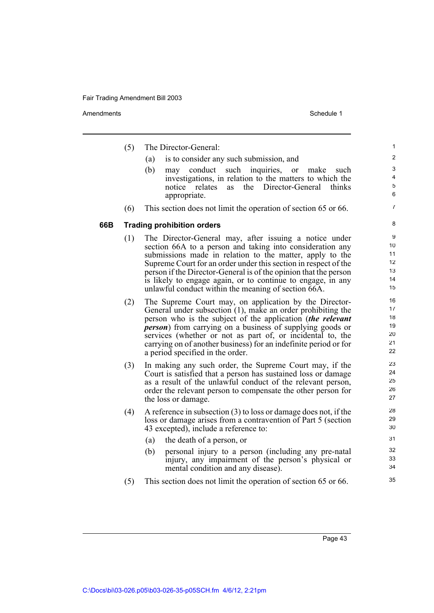Amendments **Schedule 1** Schedule 1

(5) The Director-General: (a) is to consider any such submission, and (b) may conduct such inquiries, or make such investigations, in relation to the matters to which the notice relates as the Director-General thinks appropriate. (6) This section does not limit the operation of section 65 or 66. **66B Trading prohibition orders** (1) The Director-General may, after issuing a notice under section 66A to a person and taking into consideration any submissions made in relation to the matter, apply to the Supreme Court for an order under this section in respect of the person if the Director-General is of the opinion that the person is likely to engage again, or to continue to engage, in any unlawful conduct within the meaning of section 66A. (2) The Supreme Court may, on application by the Director-General under subsection (1), make an order prohibiting the person who is the subject of the application (*the relevant person*) from carrying on a business of supplying goods or services (whether or not as part of, or incidental to, the carrying on of another business) for an indefinite period or for a period specified in the order. (3) In making any such order, the Supreme Court may, if the Court is satisfied that a person has sustained loss or damage as a result of the unlawful conduct of the relevant person, order the relevant person to compensate the other person for the loss or damage. (4) A reference in subsection (3) to loss or damage does not, if the loss or damage arises from a contravention of Part 5 (section 43 excepted), include a reference to: (a) the death of a person, or (b) personal injury to a person (including any pre-natal injury, any impairment of the person's physical or mental condition and any disease). (5) This section does not limit the operation of section 65 or 66. 1 2 3 4 5 6 7 8 9 10 11 12 13 14 15 16 17 18 19 20 21 22 23 24 25 26 27 28 29 30 31 32 33 34 35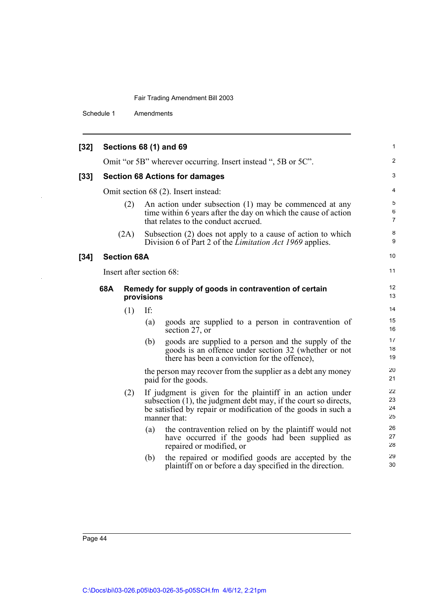Schedule 1 Amendments

| $[32]$ |                                                                                                                                                                                                                                                                                                             | Sections 68 (1) and 69   |                                                                                                                                                               |                                                                                                                                                                  |                              |  |
|--------|-------------------------------------------------------------------------------------------------------------------------------------------------------------------------------------------------------------------------------------------------------------------------------------------------------------|--------------------------|---------------------------------------------------------------------------------------------------------------------------------------------------------------|------------------------------------------------------------------------------------------------------------------------------------------------------------------|------------------------------|--|
|        |                                                                                                                                                                                                                                                                                                             |                          |                                                                                                                                                               | Omit "or 5B" wherever occurring. Insert instead ", 5B or 5C".                                                                                                    | 2                            |  |
| $[33]$ |                                                                                                                                                                                                                                                                                                             |                          |                                                                                                                                                               | <b>Section 68 Actions for damages</b>                                                                                                                            | 3                            |  |
|        |                                                                                                                                                                                                                                                                                                             |                          |                                                                                                                                                               | Omit section 68 (2). Insert instead:                                                                                                                             | 4                            |  |
|        |                                                                                                                                                                                                                                                                                                             | (2)                      |                                                                                                                                                               | An action under subsection (1) may be commenced at any<br>time within 6 years after the day on which the cause of action<br>that relates to the conduct accrued. | 5<br>$\,6$<br>$\overline{7}$ |  |
|        |                                                                                                                                                                                                                                                                                                             | (2A)                     |                                                                                                                                                               | Subsection (2) does not apply to a cause of action to which<br>Division 6 of Part 2 of the <i>Limitation Act 1969</i> applies.                                   | 8<br>9                       |  |
| $[34]$ |                                                                                                                                                                                                                                                                                                             | <b>Section 68A</b>       |                                                                                                                                                               |                                                                                                                                                                  | 10                           |  |
|        |                                                                                                                                                                                                                                                                                                             | Insert after section 68: |                                                                                                                                                               |                                                                                                                                                                  | 11                           |  |
|        | 68A                                                                                                                                                                                                                                                                                                         |                          | provisions                                                                                                                                                    | Remedy for supply of goods in contravention of certain                                                                                                           | 12<br>13                     |  |
|        |                                                                                                                                                                                                                                                                                                             | (1)                      | If:                                                                                                                                                           |                                                                                                                                                                  | 14                           |  |
|        |                                                                                                                                                                                                                                                                                                             |                          | (a)                                                                                                                                                           | goods are supplied to a person in contravention of<br>section 27, or                                                                                             | 15<br>16                     |  |
|        | (b)                                                                                                                                                                                                                                                                                                         |                          | goods are supplied to a person and the supply of the<br>goods is an offence under section 32 (whether or not<br>there has been a conviction for the offence), | 17<br>18<br>19                                                                                                                                                   |                              |  |
|        | the person may recover from the supplier as a debt any money<br>paid for the goods.<br>If judgment is given for the plaintiff in an action under<br>(2)<br>subsection (1), the judgment debt may, if the court so directs,<br>be satisfied by repair or modification of the goods in such a<br>manner that: |                          |                                                                                                                                                               |                                                                                                                                                                  | 20<br>21                     |  |
|        |                                                                                                                                                                                                                                                                                                             |                          |                                                                                                                                                               |                                                                                                                                                                  | 22<br>23<br>24<br>25         |  |
|        |                                                                                                                                                                                                                                                                                                             |                          | (a)                                                                                                                                                           | the contravention relied on by the plaintiff would not<br>have occurred if the goods had been supplied as<br>repaired or modified, or                            | 26<br>27<br>28               |  |
|        |                                                                                                                                                                                                                                                                                                             |                          | (b)                                                                                                                                                           | the repaired or modified goods are accepted by the<br>plaintiff on or before a day specified in the direction.                                                   | 29<br>30                     |  |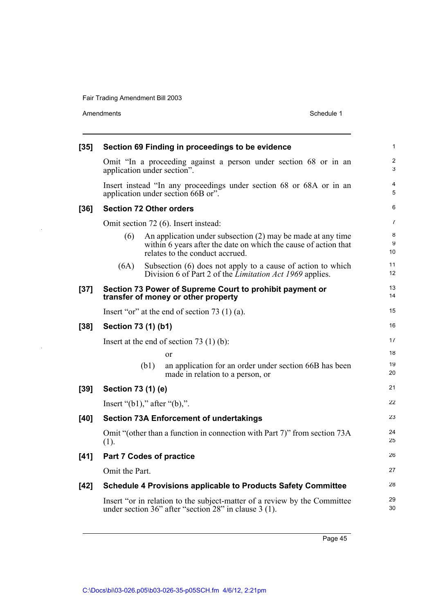$\hat{\mathcal{A}}$ 

 $\hat{\mathcal{A}}$ 

|        | Amendments                           |      | Schedule 1                                                                                                                                                        |
|--------|--------------------------------------|------|-------------------------------------------------------------------------------------------------------------------------------------------------------------------|
| $[35]$ |                                      |      | Section 69 Finding in proceedings to be evidence                                                                                                                  |
|        | application under section".          |      | Omit "In a proceeding against a person under section 68 or in an                                                                                                  |
|        |                                      |      | Insert instead "In any proceedings under section 68 or 68A or in an<br>application under section 66B or".                                                         |
| $[36]$ | <b>Section 72 Other orders</b>       |      |                                                                                                                                                                   |
|        |                                      |      | Omit section 72 (6). Insert instead:                                                                                                                              |
|        | (6)                                  |      | An application under subsection (2) may be made at any time<br>within 6 years after the date on which the cause of action that<br>relates to the conduct accrued. |
|        | (6A)                                 |      | Subsection (6) does not apply to a cause of action to which<br>Division 6 of Part 2 of the <i>Limitation Act 1969</i> applies.                                    |
| $[37]$ |                                      |      | Section 73 Power of Supreme Court to prohibit payment or<br>transfer of money or other property                                                                   |
|        |                                      |      | Insert "or" at the end of section $73$ (1) (a).                                                                                                                   |
| $[38]$ | Section 73 (1) (b1)                  |      |                                                                                                                                                                   |
|        |                                      |      | Insert at the end of section $73(1)(b)$ :                                                                                                                         |
|        |                                      |      | <sub>or</sub>                                                                                                                                                     |
|        |                                      | (b1) | an application for an order under section 66B has been<br>made in relation to a person, or                                                                        |
| $[39]$ | Section 73 (1) (e)                   |      |                                                                                                                                                                   |
|        | Insert " $(b1)$ ," after " $(b)$ ,". |      |                                                                                                                                                                   |
| $[40]$ |                                      |      | <b>Section 73A Enforcement of undertakings</b>                                                                                                                    |
|        | (1).                                 |      | Omit "(other than a function in connection with Part 7)" from section 73A                                                                                         |
| $[41]$ | <b>Part 7 Codes of practice</b>      |      |                                                                                                                                                                   |
|        | Omit the Part.                       |      |                                                                                                                                                                   |
| [42]   |                                      |      | <b>Schedule 4 Provisions applicable to Products Safety Committee</b>                                                                                              |
|        |                                      |      | Insert "or in relation to the subject-matter of a review by the Committee<br>under section 36" after "section 28" in clause 3 (1).                                |
|        |                                      |      |                                                                                                                                                                   |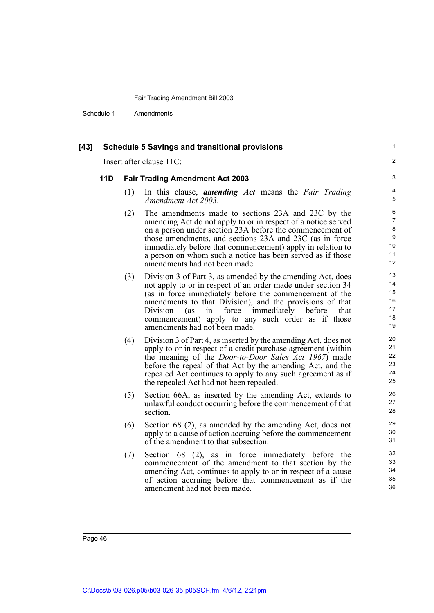Schedule 1 Amendments

| $[43]$     |                          | <b>Schedule 5 Savings and transitional provisions</b>                                                                                                                                                                                                                                                                                                                                                   | 1                                      |  |  |  |  |
|------------|--------------------------|---------------------------------------------------------------------------------------------------------------------------------------------------------------------------------------------------------------------------------------------------------------------------------------------------------------------------------------------------------------------------------------------------------|----------------------------------------|--|--|--|--|
|            | Insert after clause 11C: |                                                                                                                                                                                                                                                                                                                                                                                                         |                                        |  |  |  |  |
| <b>11D</b> |                          | <b>Fair Trading Amendment Act 2003</b>                                                                                                                                                                                                                                                                                                                                                                  | 3                                      |  |  |  |  |
|            | (1)                      | In this clause, <i>amending Act</i> means the <i>Fair Trading</i><br>Amendment Act 2003.                                                                                                                                                                                                                                                                                                                | 4<br>5                                 |  |  |  |  |
|            | (2)                      | The amendments made to sections 23A and 23C by the<br>amending Act do not apply to or in respect of a notice served<br>on a person under section 23A before the commencement of<br>those amendments, and sections 23A and 23C (as in force<br>immediately before that commencement) apply in relation to<br>a person on whom such a notice has been served as if those<br>amendments had not been made. | 6<br>7<br>8<br>9<br>10<br>11<br>12     |  |  |  |  |
|            | (3)                      | Division 3 of Part 3, as amended by the amending Act, does<br>not apply to or in respect of an order made under section 34<br>(as in force immediately before the commencement of the<br>amendments to that Division), and the provisions of that<br>Division<br>force immediately before<br>in<br>(as<br>that<br>commencement) apply to any such order as if those<br>amendments had not been made.    | 13<br>14<br>15<br>16<br>17<br>18<br>19 |  |  |  |  |
|            | (4)                      | Division 3 of Part 4, as inserted by the amending Act, does not<br>apply to or in respect of a credit purchase agreement (within<br>the meaning of the <i>Door-to-Door Sales Act 1967</i> ) made<br>before the repeal of that Act by the amending Act, and the<br>repealed Act continues to apply to any such agreement as if<br>the repealed Act had not been repealed.                                | 20<br>21<br>22<br>23<br>24<br>25       |  |  |  |  |
|            | (5)                      | Section 66A, as inserted by the amending Act, extends to<br>unlawful conduct occurring before the commencement of that<br>section.                                                                                                                                                                                                                                                                      | 26<br>27<br>28                         |  |  |  |  |
|            | (6)                      | Section 68 (2), as amended by the amending Act, does not<br>apply to a cause of action accruing before the commencement<br>of the amendment to that subsection.                                                                                                                                                                                                                                         | 29<br>30<br>31                         |  |  |  |  |
|            | (7)                      | Section $68$ (2), as in force immediately before the<br>commencement of the amendment to that section by the<br>amending Act, continues to apply to or in respect of a cause<br>of action accruing before that commencement as if the<br>amendment had not been made.                                                                                                                                   | 32<br>33<br>34<br>35<br>36             |  |  |  |  |